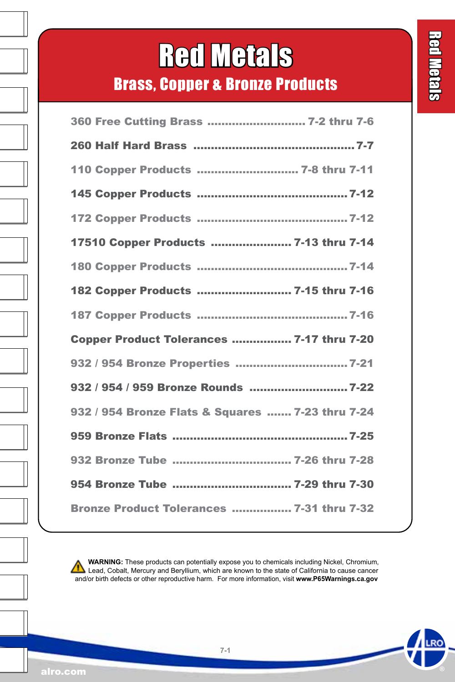# Red Metals

Brass, Copper & Bronze Products

| 360 Free Cutting Brass  7-2 thru 7-6             |
|--------------------------------------------------|
|                                                  |
| 110 Copper Products  7-8 thru 7-11               |
|                                                  |
|                                                  |
| 17510 Copper Products  7-13 thru 7-14            |
|                                                  |
| 182 Copper Products  7-15 thru 7-16              |
|                                                  |
| Copper Product Tolerances  7-17 thru 7-20        |
| 932 / 954 Bronze Properties  7-21                |
|                                                  |
| 932 / 954 Bronze Flats & Squares  7-23 thru 7-24 |
|                                                  |
| 932 Bronze Tube  7-26 thru 7-28                  |
| 954 Bronze Tube  7-29 thru 7-30                  |
| Bronze Product Tolerances  7-31 thru 7-32        |

 **WARNING:** These products can potentially expose you to chemicals including Nickel, Chromium,  [L](https://www.p65warnings.ca.gov/)ead, Cobalt, Mercury and Beryllium, which are known to the state of California to cause cancer and/or birth defects or other reproductive harm. For more information, visit **www.P65Warnings.ca.gov**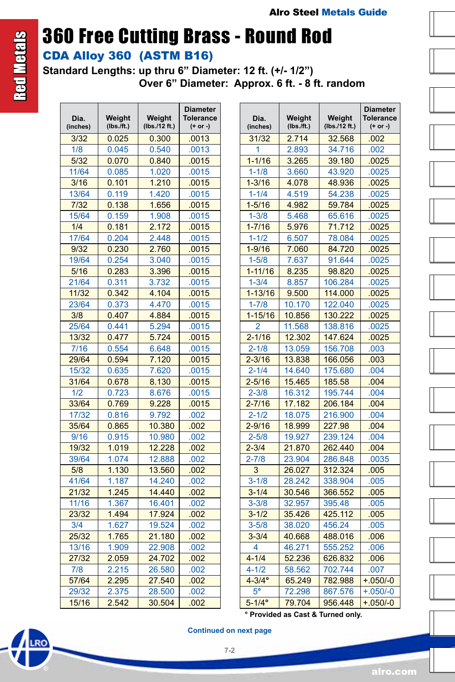# 360 Free Cutting Brass - Round Rod

### CDA Alloy 360 (ASTM B16)

**Standard Lengths: up thru 6" Diameter: 12 ft. (+/- 1/2") Over 6" Diameter: Approx. 6 ft. - 8 ft. random**

| Dia.<br>(inches) | Weight<br>(Ibs./ft.) | Weight<br>(lbs./12 ft.) | Diameter<br>Tolerance<br>(+ or -) |
|------------------|----------------------|-------------------------|-----------------------------------|
| 3/32             | 0.025                | 0.300                   | .0013                             |
| 1/8              | 0.045                | 0.540                   | .0013                             |
| 5/32             | 0.070                | 0.840                   | .0015                             |
| 11/64            | 0.085                | 1.020                   | .0015                             |
| 3/16             | 0.101                | 1.210                   | .0015                             |
| 13/64            | 0.119                | 1.420                   | .0015                             |
| 7/32             | 0.138                | 1.656                   | .0015                             |
| 15/64            | 0.159                | 1.908                   | .0015                             |
| 1/4              | 0.181                | 2.172                   | .0015                             |
| 17/64            | 0.204                | 2.448                   | .0015                             |
| 9/32             | 0.230                | 2.760                   | .0015                             |
| 19/64            | 0.254                | 3.040                   | .0015                             |
| 5/16             | 0.283                | 3.396                   | .0015                             |
| 21/64            | 0.311                | 3.732                   | .0015                             |
| 11/32            | 0.342                | 4.104                   | .0015                             |
| 23/64            | 0.373                | 4.470                   | .0015                             |
| 3/8              | 0.407                | 4.884                   | .0015                             |
| 25/64            | 0.441                | 5.294                   | .0015                             |
| 13/32            | 0.477                | 5.724                   | .0015                             |
| 7/16             | 0.554                | 6.648                   | .0015                             |
| 29/64            | 0.594                | 7.120                   | .0015                             |
| 15/32            | 0.635                | 7.620                   | .0015                             |
| 31/64            | 0.678                | 8.130                   | .0015                             |
| 1/2              | 0.723                | 8.676                   | .0015                             |
| 33/64            | 0.769                | 9.228                   | .0015                             |
| 17/32            | 0.816                | 9.792                   | .002                              |
| 35/64            | 0.865                | 10.380                  | .002                              |
| 9/16             | 0.915                | 10.980                  | .002                              |
| 19/32            | 1.019                | 12.228                  | .002                              |
| 39/64            | 1.074                | 12.888                  | .002                              |
| 5/8              | 1.130                | 13.560                  | .002                              |
| 41/64            | 1.187                | 14.240                  | .002                              |
| 21/32            | 1.245                | 14.440                  | .002                              |
| 11/16            | 1.367                | 16.401                  | .002                              |
| 23/32            | 1.494                | 17.924                  | .002                              |
| 3/4              | 1.627                | 19.524                  | .002                              |
| 25/32            | 1.765                | 21.180                  | .002                              |
| 13/16            | 1.909                | 22.908                  | .002                              |
| 27/32            | 2.059                | 24.702                  | .002                              |
| 7/8              | 2.215                | 26.580                  | .002                              |
| 57/64            | 2.295                | 27.540                  | .002                              |
| 29/32            | 2.375                | 28.500                  | .002                              |
| 15/16            | 2.542                | 30.504                  | .002                              |

| Dia.<br>(inches) | Weight<br>(Ibs./ft.) | Weight<br>(lbs./12 ft.) | <b>Diameter</b><br>Tolerance<br>(+ or -) |  |
|------------------|----------------------|-------------------------|------------------------------------------|--|
| 31/32            | 2.714                | 32.568                  | .002                                     |  |
| 1                | 2.893                | 34.716                  | .002                                     |  |
| $1 - 1/16$       | 3.265                | 39.180                  | .0025                                    |  |
| $1 - 1/8$        | 3.660                | 43.920                  | .0025                                    |  |
| $1 - 3/16$       | 4.078                | 48.936                  | .0025                                    |  |
| $1 - 1/4$        | 4.519                | 54.238                  | .0025                                    |  |
| $1 - 5/16$       | 4.982                | 59.784                  | .0025                                    |  |
| $1 - 3/8$        | 5.468                | 65.616                  | .0025                                    |  |
| $1 - 7/16$       | 5.976                | 71.712                  | .0025                                    |  |
| $1 - 1/2$        | 6.507                | 78.084                  | .0025                                    |  |
| $1 - 9/16$       | 7.060                | 84.720                  | .0025                                    |  |
| $1 - 5/8$        | 7.637                | 91.644                  | .0025                                    |  |
| $1 - 11/16$      | 8.235                | 98.820                  | .0025                                    |  |
| $1 - 3/4$        | 8.857                | 106.284                 | .0025                                    |  |
| $1 - 13/16$      | 9.500                | 114.000                 | .0025                                    |  |
| $1 - 7/8$        | 10.170               | 122.040                 | .0025                                    |  |
| $1 - 15/16$      | 10.856               | 130.222                 | .0025                                    |  |
| 2                | 11.568               | 138.816                 | .0025                                    |  |
| $2 - 1/16$       | 12.302               | 147.624                 | .0025                                    |  |
| $2 - 1/8$        | 13.059               | 156.708                 | .003                                     |  |
| $2 - 3/16$       | 13.838               | 166.056                 | .003                                     |  |
| $2 - 1/4$        | 14.640               | 175.680                 | .004                                     |  |
| $2 - 5/16$       | 15.465               | 185.58                  | .004                                     |  |
| $2 - 3/8$        | 16.312               | 195.744                 | .004                                     |  |
| $2 - 7/16$       | 17.182               | 206.184                 | .004                                     |  |
| $2 - 1/2$        | 18.075               | 216.900                 | .004                                     |  |
| $2 - 9/16$       | 18.999               | 227.98                  | .004                                     |  |
| $2 - 5/8$        | 19.927               | 239.124                 | .004                                     |  |
| $2 - 3/4$        | 21.870               | 262.440                 | .004                                     |  |
| $2 - 7/8$        | 23.904               | 286.848                 | .0035                                    |  |
| 3                | 26.027               | 312.324                 | .005                                     |  |
| $3 - 1/8$        | 28.242               | 338.904                 | .005                                     |  |
| $3 - 1/4$        | 30.546               | 366.552                 | .005                                     |  |
| $3 - 3/8$        | 32.957               | 395.48                  | .005                                     |  |
| $3 - 1/2$        | 35.426               | 425.112                 | .005                                     |  |
| $3 - 5/8$        | 38.020               | 456.24                  | .005                                     |  |
| $3 - 3/4$        | 40.668               | 488.016                 | .006                                     |  |
| $\overline{4}$   | 46.271               | 555.252                 | .006                                     |  |
| $4 - 1/4$        | 52.236               | 626.832                 | .006                                     |  |
| $4 - 1/2$        | 58.562               | 702.744                 | .007                                     |  |
| $4 - 3/4$ °      | 65.249               | 782.988                 | $+.050/-0$                               |  |
| $5^{\circ}$      | 72.298               | 867.576<br>956.448      | $+.050/-0$                               |  |
| $5 - 1/4$ °      | 79.704               |                         | $+.050/-0$                               |  |

**° Provided as Cast & Turned only.**

<span id="page-1-0"></span>

**Continued on next page**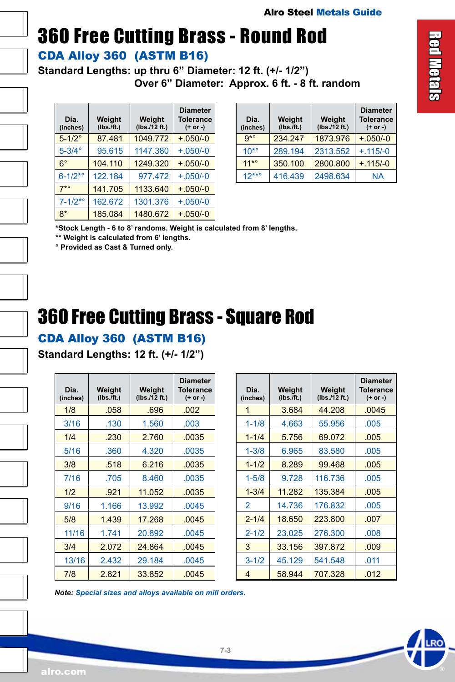# 360 Free Cutting Brass - Round Rod

#### CDA Alloy 360 (ASTM B16)

**Standard Lengths: up thru 6" Diameter: 12 ft. (+/- 1/2") Over 6" Diameter: Approx. 6 ft. - 8 ft. random**

| Dia.<br>(inches) | Weight<br>(Ibs. / ft.) | Weight<br>(lbs./12 ft.) |            |
|------------------|------------------------|-------------------------|------------|
| $5 - 1/2$ °      | 87.481                 | 1049.772                | $+.050/-0$ |
| $5-3/4^\circ$    | 95.615                 | 1147.380                | $+.050/-0$ |
| $6^{\circ}$      | 104.110                | 1249.320                | $+.050/-0$ |
| $6 - 1/2^{*o}$   | 122.184                | 977.472                 | $+.050/-0$ |
| $7*°$            | 141.705                | 1133.640                | $+.050/-0$ |
| $7 - 1/2^{*o}$   | 162.672                | 1301.376                | $+.050/-0$ |
| $8*$             | 185.084                | 1480.672                | $+.050/-0$ |

| Dia.<br>(inches) | Weight<br>$(Ibs.$ /ft.) | Weight<br>(lbs./12 ft.) | <b>Diameter</b><br><b>Tolerance</b><br>$(+ or -)$ |
|------------------|-------------------------|-------------------------|---------------------------------------------------|
| $Q^*$            | 234.247                 | 1873.976                | $+050/-0$                                         |
| $10^{*o}$        | 289.194                 | 2313.552                | $+.115/-0$                                        |
| $11*°$           | 350.100                 | 2800.800                | $+ 115/-0$                                        |
| $12***$          | 416.439                 | 2498.634                | <b>NA</b>                                         |

**\*Stock Length - 6 to 8' randoms. Weight is calculated from 8' lengths.**

**\*\* Weight is calculated from 6' lengths.**

**° Provided as Cast & Turned only.**

### 360 Free Cutting Brass - Square Rod

#### CDA Alloy 360 (ASTM B16)

**Standard Lengths: 12 ft. (+/- 1/2")**

| Dia.<br>(inches) | Weight<br>(Ibs. / ft.) | Weight<br>(lbs./12 ft.) | <b>Diameter</b><br>Tolerance<br>$(+ or -)$ |
|------------------|------------------------|-------------------------|--------------------------------------------|
| 1/8              | .058                   | .696                    | .002                                       |
| 3/16             | .130                   | 1.560                   | .003                                       |
| 1/4              | .230                   | 2.760                   | .0035                                      |
| 5/16             | .360                   | 4.320                   | .0035                                      |
| 3/8              | .518                   | 6.216                   | .0035                                      |
| 7/16             | .705                   | 8.460                   | .0035                                      |
| 1/2              | .921                   | 11.052                  | .0035                                      |
| 9/16             | 1.166                  | 13.992                  | .0045                                      |
| 5/8              | 1.439                  | 17.268                  | .0045                                      |
| 11/16            | 1.741                  | 20.892                  | .0045                                      |
| 3/4              | 2.072                  | 24.864                  | .0045                                      |
| 13/16            | 2.432                  | 29.184                  | .0045                                      |
| 7/8              | 2.821                  | 33.852                  | .0045                                      |

| Dia.<br>(inches) | Weight<br>(Ibs./ft.) | Weight<br>(lbs./12 ft.) | <b>Diameter</b><br><b>Tolerance</b><br>(+ or -) |
|------------------|----------------------|-------------------------|-------------------------------------------------|
| 1                | 3.684                | 44.208                  | .0045                                           |
| $1 - 1/8$        | 4.663                | 55.956                  | .005                                            |
| $1 - 1/4$        | 5.756                | 69.072                  | .005                                            |
| $1 - 3/8$        | 6.965                | 83.580                  | .005                                            |
| $1 - 1/2$        | 8.289                | 99.468                  | .005                                            |
| $1 - 5/8$        | 9.728                | 116.736                 | .005                                            |
| $1 - 3/4$        | 11.282               | 135.384                 | .005                                            |
| 2                | 14.736               | 176.832                 | .005                                            |
| $2 - 1/4$        | 18.650               | 223.800                 | .007                                            |
| $2 - 1/2$        | 23.025               | 276.300                 | .008                                            |
| 3                | 33.156               | 397.872                 | .009                                            |
| $3 - 1/2$        | 45.129               | 541.548                 | .011                                            |
| 4                | 58.944               | 707.328                 | .012                                            |

*Note: Special sizes and alloys available on mill orders.*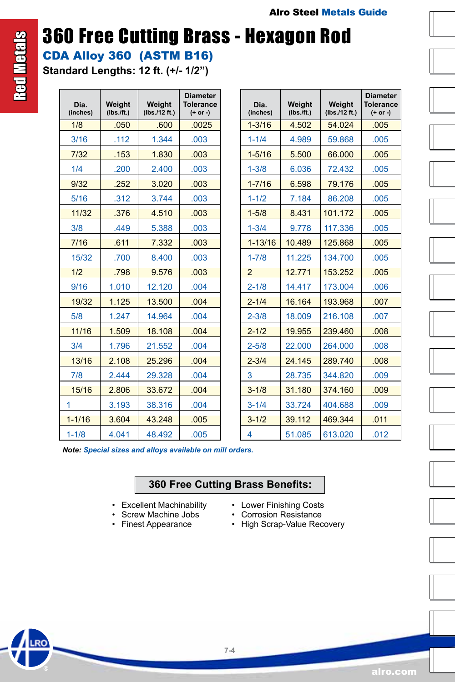### 360 Free Cutting Brass - Hexagon Rod CDA Alloy 360 (ASTM B16)

**Standard Lengths: 12 ft. (+/- 1/2")**

Red Metals

**Red Metals** 

| Dia.<br>(inches) | Weight<br>$(Ibs.$ /ft.) | Weight<br>(Ibs./12 ft.) | <b>Diameter</b><br><b>Tolerance</b><br>$(+ or -)$ | (i             |
|------------------|-------------------------|-------------------------|---------------------------------------------------|----------------|
| 1/8              | .050                    | .600                    | .0025                                             | $\overline{1}$ |
| 3/16             | .112                    | 1.344                   | .003                                              | 1              |
| 7/32             | .153                    | 1.830                   | .003                                              | $\overline{1}$ |
| 1/4              | .200                    | 2.400                   | .003                                              | 1              |
| 9/32             | .252                    | 3.020                   | .003                                              | $\overline{1}$ |
| 5/16             | .312                    | 3.744                   | .003                                              | $\overline{1}$ |
| 11/32            | .376                    | 4.510                   | .003                                              | $\overline{1}$ |
| 3/8              | .449                    | 5.388                   | .003                                              | 1              |
| 7/16             | .611                    | 7.332                   | .003                                              | $\mathbf{1}$   |
| 15/32            | .700                    | 8.400                   | .003                                              | 1              |
| 1/2              | .798                    | 9.576                   | .003                                              | $\overline{c}$ |
| 9/16             | 1.010                   | 12.120                  | .004                                              | $\overline{2}$ |
| 19/32            | 1.125                   | 13.500                  | .004                                              | $\overline{2}$ |
| 5/8              | 1.247                   | 14.964                  | .004                                              | 2              |
| 11/16            | 1.509                   | 18.108                  | .004                                              | $\overline{a}$ |
| 3/4              | 1.796                   | 21.552                  | .004                                              | $\overline{c}$ |
| 13/16            | 2.108                   | 25.296                  | .004                                              | $\overline{a}$ |
| 7/8              | 2.444                   | 29.328                  | .004                                              | 3              |
| 15/16            | 2.806                   | 33.672                  | .004                                              | 3              |
| 1                | 3.193                   | 38.316                  | .004                                              | 3              |
| $1 - 1/16$       | 3.604                   | 43.248                  | .005                                              | 3              |
| $1 - 1/8$        | 4.041                   | 48.492                  | .005                                              | 4              |
|                  |                         |                         |                                                   |                |

| Dia.<br>(inches) | Weight<br>$(Ibs.$ /ft.) | Weight<br>(Ibs./12 ft.) |      |
|------------------|-------------------------|-------------------------|------|
| $1 - 3/16$       | 4.502                   | 54.024                  | .005 |
| $1 - 1/4$        | 4.989                   | 59.868                  | .005 |
| $1 - 5/16$       | 5.500                   | 66.000                  | .005 |
| $1 - 3/8$        | 6.036                   | 72.432                  | .005 |
| $1 - 7/16$       | 6.598                   | 79.176                  | .005 |
| $1 - 1/2$        | 7.184                   | 86.208                  | .005 |
| $1 - 5/8$        | 8.431                   | 101.172                 | .005 |
| $1 - 3/4$        | 9.778                   | 117.336                 | .005 |
| $1 - 13/16$      | 10.489                  | 125.868                 | .005 |
| $1 - 7/8$        | 11.225                  | 134,700                 | .005 |
| $\overline{2}$   | 12.771                  | 153.252                 | .005 |
| $2 - 1/8$        | 14.417                  | 173.004                 | .006 |
| $2 - 1/4$        | 16.164                  | 193.968                 | .007 |
| $2 - 3/8$        | 18.009                  | 216.108                 | .007 |
| $2 - 1/2$        | 19.955                  | 239.460                 | .008 |
| $2 - 5/8$        | 22.000                  | 264.000                 | .008 |
| $2 - 3/4$        | 24.145                  | 289.740                 | .008 |
| 3                | 28.735                  | 344.820                 | .009 |
| $3 - 1/8$        | 31.180                  | 374.160                 | .009 |
| $3 - 1/4$        | 33.724                  | 404.688                 | .009 |
| $3 - 1/2$        | 39.112                  | 469.344                 | 011  |
| 4                | 51.085                  | 613.020                 | .012 |

 *Note: Special sizes and alloys available on mill orders.*

#### **360 Free Cutting Brass Benefits:**

**7-4**

- Excellent Machinability
- Screw Machine Jobs
- Finest Appearance
- Lower Finishing Costs
- Corrosion Resistance
- High Scrap-Value Recovery



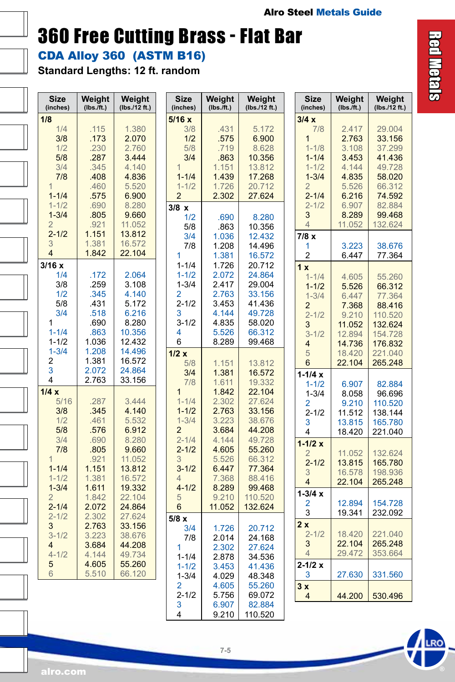### 360 Free Cutting Brass - Flat Bar

CDA Alloy 360 (ASTM B16)

**Standard Lengths: 12 ft. random**

| <b>Size</b><br>(inches) | Weight<br>$(Ibs.\bar{f}t.)$ | Weight<br>(lbs./12 ft.) | <b>Size</b><br>(inches) | Weight<br>$(Ibs.\bar{f}t.)$ | Weight<br>(lbs./12 ft.) | <b>Size</b><br>(inches)     | Weight<br>$(Ibs.\bar{f}t.)$ | Weight<br>(lbs./12 ft.) |
|-------------------------|-----------------------------|-------------------------|-------------------------|-----------------------------|-------------------------|-----------------------------|-----------------------------|-------------------------|
| 1/8                     |                             |                         | 5/16x                   |                             |                         | 3/4x                        |                             |                         |
| 1/4                     | .115                        | 1.380                   | 3/8                     | .431                        | 5.172                   | 7/8                         | 2.417                       | 29.004                  |
| 3/8                     | .173                        | 2.070                   | 1/2                     | .575                        | 6.900                   | 1                           | 2.763                       | 33.156                  |
| 1/2                     | .230                        | 2.760                   | 5/8                     | .719                        | 8.628                   | $1 - 1/8$                   | 3.108                       | 37.299                  |
| 5/8                     | .287                        | 3.444                   | 3/4                     | .863                        | 10.356                  | $1 - 1/4$                   | 3.453                       | 41.436                  |
| 3/4                     | .345                        | 4.140                   | $\overline{1}$          | 1.151                       | 13.812                  | $1 - 1/2$                   | 4.144                       | 49.728                  |
| 7/8                     | .408                        | 4.836                   | $1 - 1/4$               | 1.439                       | 17.268                  | $1 - 3/4$                   | 4.835                       | 58.020                  |
| 1                       | .460                        | 5.520                   | $1 - 1/2$               | 1.726                       | 20.712                  | $\overline{2}$              | 5.526                       | 66.312                  |
| $1 - 1/4$               | .575                        | 6.900                   | $\overline{2}$          | 2.302                       | 27.624                  | $2 - 1/4$                   | 6.216                       | 74.592                  |
| $1 - 1/2$               | .690                        | 8.280                   | 3/8 x                   |                             |                         | $2 - 1/2$                   | 6.907                       | 82.884                  |
| $1 - 3/4$               | .805                        | 9.660                   | 1/2                     | .690                        | 8.280                   | 3                           | 8.289                       | 99.468                  |
| $\overline{2}$          | .921                        | 11.052                  | 5/8                     | .863                        | 10.356                  | $\overline{4}$              | 11.052                      | 132.624                 |
| $2 - 1/2$               | 1.151                       | 13.812                  | 3/4                     | 1.036                       | 12.432                  | 7/8x                        |                             |                         |
| 3                       | 1.381                       | 16.572                  | 7/8                     | 1.208                       | 14.496                  | 1                           | 3.223                       | 38.676                  |
| $\overline{4}$          | 1.842                       | 22.104                  | 1                       | 1.381                       | 16.572                  | $\overline{2}$              | 6.447                       | 77.364                  |
| 3/16x                   |                             |                         | $1 - 1/4$               | 1.726                       | 20.712                  | 1x                          |                             |                         |
| 1/4                     | .172                        | 2.064                   | $1 - 1/2$               | 2.072                       | 24.864                  | $1 - 1/4$                   | 4.605                       | 55.260                  |
| 3/8                     | .259                        | 3.108                   | $1 - 3/4$               | 2.417                       | 29.004                  | $1 - 1/2$                   | 5.526                       | 66.312                  |
| 1/2                     | .345                        | 4.140                   | 2                       | 2.763                       | 33.156                  | $1 - 3/4$                   | 6.447                       | 77.364                  |
| 5/8                     | .431                        | 5.172                   | $2 - 1/2$               | 3.453                       | 41.436                  | $\overline{2}$              | 7.368                       | 88.416                  |
| 3/4                     | .518                        | 6.216                   | 3                       | 4.144                       | 49.728                  | $2 - 1/2$                   | 9.210                       | 110.520                 |
| 1                       | .690                        | 8.280                   | $3 - 1/2$               | 4.835                       | 58.020                  | 3                           | 11.052                      | 132.624                 |
| $1 - 1/4$               | .863                        | 10.356                  | 4                       | 5.526                       | 66.312                  | $3 - 1/2$                   | 12.894                      | 154.728                 |
| $1 - 1/2$               | 1.036                       | 12.432                  | 6                       | 8.289                       | 99.468                  | $\overline{4}$              | 14.736                      | 176.832                 |
| $1 - 3/4$               | 1.208                       | 14.496                  | 1/2x                    |                             |                         | 5                           | 18.420                      | 221.040                 |
| 2                       | 1.381                       | 16.572                  | 5/8                     | 1.151                       | 13.812                  | 6                           | 22.104                      | 265.248                 |
| 3                       | 2.072                       | 24.864                  | 3/4                     | 1.381                       | 16.572                  | $1 - 1/4x$                  |                             |                         |
| 4                       | 2.763                       | 33.156                  | 7/8                     | 1.611                       | 19.332                  | $1 - 1/2$                   | 6.907                       | 82.884                  |
| 1/4x                    |                             |                         | $\overline{1}$          | 1.842                       | 22.104                  | $1 - 3/4$                   | 8.058                       | 96.696                  |
| 5/16                    | .287                        | 3.444                   | $1 - 1/4$               | 2.302                       | 27.624                  | 2                           | 9.210                       | 110.520                 |
| 3/8                     | .345                        | 4.140                   | $1 - 1/2$               | 2.763                       | 33.156                  | $2 - 1/2$                   | 11.512                      | 138.144                 |
| 1/2                     | .461                        | 5.532                   | $1 - 3/4$               | 3.223                       | 38.676                  | 3                           | 13.815                      | 165.780                 |
| 5/8                     | .576                        | 6.912                   | $\overline{2}$          | 3.684                       | 44.208                  | 4                           | 18.420                      | 221.040                 |
| 3/4                     | .690                        | 8.280                   | $2 - 1/4$               | 4.144                       | 49.728                  |                             |                             |                         |
| 7/8                     | .805                        | 9.660                   | $2 - 1/2$               | 4.605                       | 55.260                  | $1 - 1/2x$                  |                             |                         |
| $\mathbf{1}$            | .921                        | 11.052                  | 3                       | 5.526                       | 66.312                  | $\overline{2}$<br>$2 - 1/2$ | 11.052<br>13.815            | 132.624<br>165.780      |
| $1 - 1/4$               | 1.151                       | 13.812                  | $3 - 1/2$               | 6.447                       | 77.364                  | 3                           |                             |                         |
| $1 - 1/2$               | 1.381                       | 16.572                  | 4                       | 7.368                       | 88.416                  | $\overline{4}$              | 16.578<br>22.104            | 198.936                 |
| $1 - 3/4$               | 1.611                       | 19.332                  | $4 - 1/2$               | 8.289                       | 99.468                  |                             |                             | 265.248                 |
| $\overline{2}$          | 1.842                       | 22.104                  | 5                       | 9.210                       | 110.520                 | $1 - 3/4x$                  |                             |                         |
| $2 - 1/4$               | 2.072                       | 24.864                  | 6                       | 11.052                      | 132.624                 | 2                           | 12.894                      | 154.728                 |
| $2 - 1/2$               | 2.302                       | 27.624                  | 5/8x                    |                             |                         | 3                           | 19.341                      | 232.092                 |
| 3                       | 2.763                       | 33.156                  | 3/4                     | 1.726                       | 20.712                  | 2x                          |                             |                         |
| $3 - 1/2$               | 3.223                       | 38.676                  | 7/8                     | 2.014                       | 24.168                  | $2 - 1/2$                   | 18.420                      | 221.040                 |
| 4                       | 3.684                       | 44.208                  | 1                       | 2.302                       | 27.624                  | 3                           | 22.104                      | 265.248                 |
| $4 - 1/2$               | 4.144                       | 49.734                  | $1 - 1/4$               | 2.878                       | 34.536                  | $\overline{4}$              | 29.472                      | 353.664                 |
| 5                       | 4.605                       | 55.260                  | $1 - 1/2$               | 3.453                       | 41.436                  | $2 - 1/2x$                  |                             |                         |
| 6                       | 5.510                       | 66.120                  | $1 - 3/4$               | 4.029                       | 48.348                  | 3                           | 27.630                      | 331.560                 |
|                         |                             |                         | 2                       | 4.605                       | 55.260                  | 3x                          |                             |                         |
|                         |                             |                         | $2 - 1/2$               | 5.756                       | 69.072                  | $\overline{4}$              | 44.200                      | 530.496                 |
|                         |                             |                         | 3                       | 6.907                       | 82.884                  |                             |                             |                         |
|                         |                             |                         | 4                       | 9.210                       | 110.520                 |                             |                             |                         |
|                         |                             |                         |                         |                             |                         |                             |                             |                         |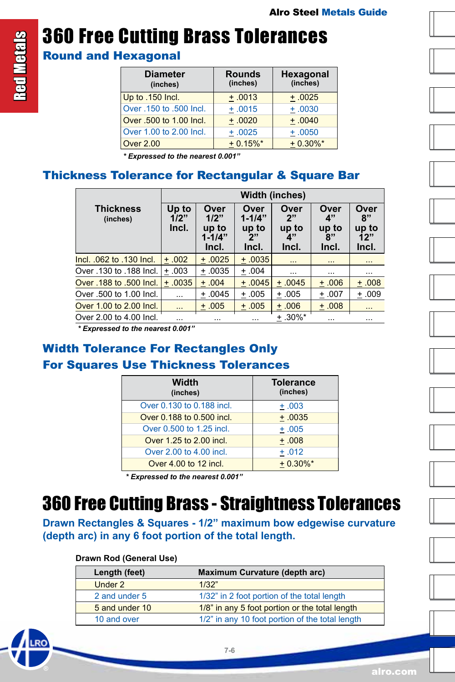# 360 Free Cutting Brass Tolerances

#### Round and Hexagonal

| <b>Diameter</b><br>(inches) | <b>Rounds</b><br>(inches) | Hexagonal<br>(inches) |
|-----------------------------|---------------------------|-----------------------|
| Up to .150 Incl.            | $+ .0013$                 | $+.0025$              |
| Over .150 to .500 Incl.     | $+.0015$                  | $+ .0030$             |
| Over .500 to 1.00 Incl.     | $+ .0020$                 | $+ .0040$             |
| Over 1.00 to 2.00 Incl.     | $+ .0025$                 | $+ .0050$             |
| <b>Over 2.00</b>            | $+0.15%$ *                | $+0.30\%$ *           |

*\* Expressed to the nearest 0.001"*

#### Thickness Tolerance for Rectangular & Square Bar

|                              | <b>Width (inches)</b>  |                                              |                                             |                                    |                                    |                                     |  |  |  |  |
|------------------------------|------------------------|----------------------------------------------|---------------------------------------------|------------------------------------|------------------------------------|-------------------------------------|--|--|--|--|
| <b>Thickness</b><br>(inches) | Up to<br>1/2"<br>Incl. | Over<br>1/2"<br>up to<br>$1 - 1/4"$<br>Incl. | Over<br>$1 - 1/4"$<br>up to<br>ייפ<br>Incl. | Over<br>2"<br>up to<br>4"<br>Incl. | Over<br>4"<br>up to<br>8"<br>Incl. | Over<br>8"<br>up to<br>12"<br>Incl. |  |  |  |  |
| Incl. 062 to .130 Incl.      | $+.002$                | $+.0025$                                     | $+ .0035$                                   | $\ddotsc$                          | $\cdots$                           | $\cdots$                            |  |  |  |  |
| Over .130 to .188 Incl.      | $+.003$                | $+.0035$                                     | $+.004$                                     | $\cdots$                           | $\cdots$                           | .                                   |  |  |  |  |
| Over .188 to .500 Incl.      | $+ .0035$              | $+.004$                                      | $+ .0045$                                   | $+.0045$                           | ±.006                              | ±.008                               |  |  |  |  |
| Over .500 to 1.00 Incl.      | $\cdots$               | $+.0045$                                     | $+.005$                                     | $+.005$                            | $+.007$                            | $+.009$                             |  |  |  |  |
| Over 1.00 to 2.00 Incl.      | $\sim$ $\sim$ $\sim$   | $+.005$                                      | $+.005$                                     | $+.006$                            | $+.008$                            | $\sim$ $\sim$                       |  |  |  |  |
| Over 2.00 to 4.00 Incl.      | .                      | $\cdots$                                     | $\cdots$                                    | $±.30\%*$                          | $\cdots$                           | $\cdots$                            |  |  |  |  |

*\* Expressed to the nearest 0.001"*

#### Width Tolerance For Rectangles Only For Squares Use Thickness Tolerances

| Width<br>(inches)         | <b>Tolerance</b><br>(inches) |
|---------------------------|------------------------------|
| Over 0.130 to 0.188 incl. | $+.003$                      |
| Over 0.188 to 0.500 incl. | $+.0035$                     |
| Over 0.500 to 1.25 incl.  | $+.005$                      |
| Over 1.25 to 2.00 incl.   | $+.008$                      |
| Over 2.00 to 4.00 incl.   | $+.012$                      |
| Over 4.00 to 12 incl.     | $+0.30\%$ *                  |

*\* Expressed to the nearest 0.001"*

### 360 Free Cutting Brass - Straightness Tolerances

**Drawn Rectangles & Squares - 1/2" maximum bow edgewise curvature (depth arc) in any 6 foot portion of the total length.**

#### **Drawn Rod (General Use)**

| Length (feet)  | <b>Maximum Curvature (depth arc)</b>            |
|----------------|-------------------------------------------------|
| Under 2        | 1/32"                                           |
| 2 and under 5  | 1/32" in 2 foot portion of the total length     |
| 5 and under 10 | 1/8" in any 5 foot portion or the total length  |
| 10 and over    | 1/2" in any 10 foot portion of the total length |















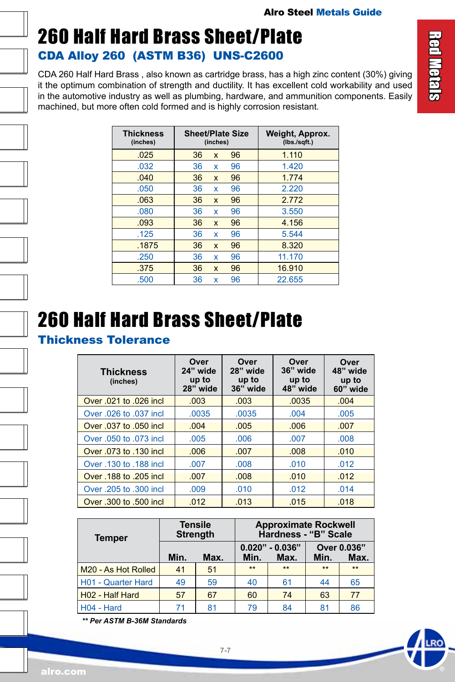### <span id="page-6-0"></span>260 Half Hard Brass Sheet/Plate CDA Alloy 260 (ASTM B36) UNS-C2600

CDA 260 Half Hard Brass , also known as cartridge brass, has a high zinc content (30%) giving it the optimum combination of strength and ductility. It has excellent cold workability and used in the automotive industry as well as plumbing, hardware, and ammunition components. Easily machined, but more often cold formed and is highly corrosion resistant.

| <b>Thickness</b><br>(inches) | <b>Sheet/Plate Size</b><br>(inches) |              |    | Weight, Approx.<br>(Ibs./sqft.) |
|------------------------------|-------------------------------------|--------------|----|---------------------------------|
| .025                         | 36                                  | X            | 96 | 1.110                           |
| .032                         | 36                                  | x            | 96 | 1.420                           |
| .040                         | 36                                  | X            | 96 | 1.774                           |
| .050                         | 36                                  | x            | 96 | 2.220                           |
| .063                         | 36                                  | $\mathsf{x}$ | 96 | 2.772                           |
| .080                         | 36                                  | x            | 96 | 3.550                           |
| .093                         | 36                                  | X            | 96 | 4.156                           |
| .125                         | 36                                  | X            | 96 | 5.544                           |
| .1875                        | 36                                  | $\mathsf{x}$ | 96 | 8.320                           |
| .250                         | 36                                  | x            | 96 | 11.170                          |
| .375                         | 36                                  | $\mathsf{x}$ | 96 | 16.910                          |
| .500                         | 36                                  | x            | 96 | 22.655                          |

### 260 Half Hard Brass Sheet/Plate

#### Thickness Tolerance

| <b>Thickness</b><br>(inches) | Over<br>24" wide<br>up to<br>$28"$ wide | Over<br>28" wide<br>up to<br>36" wide | Over<br>36" wide<br>up to<br>48" wide | Over<br>48" wide<br>up to<br>60" wide |
|------------------------------|-----------------------------------------|---------------------------------------|---------------------------------------|---------------------------------------|
| Over .021 to .026 incl       | .003                                    | .003                                  | .0035                                 | .004                                  |
| Over .026 to .037 incl       | .0035                                   | .0035                                 | .004                                  | .005                                  |
| Over .037 to .050 incl       | .004                                    | .005                                  | .006                                  | .007                                  |
| Over .050 to .073 incl       | .005                                    | .006                                  | .007                                  | .008                                  |
| Over .073 to .130 incl       | .006                                    | .007                                  | .008                                  | .010                                  |
| Over .130 to .188 incl       | .007                                    | .008                                  | .010                                  | .012                                  |
| Over .188 to .205 incl       | .007                                    | .008                                  | .010                                  | .012                                  |
| Over .205 to .300 incl.      | .009                                    | .010                                  | .012                                  | .014                                  |
| Over .300 to .500 incl       | .012                                    | .013                                  | .015                                  | .018                                  |

| <b>Temper</b>       | <b>Tensile</b><br><b>Strength</b> |      |      | <b>Approximate Rockwell</b><br>Hardness - "B" Scale |       |                     |
|---------------------|-----------------------------------|------|------|-----------------------------------------------------|-------|---------------------|
|                     | Min.                              | Max. | Min. | $0.020" - 0.036"$<br>Max.                           | Min.  | Over 0.036"<br>Max. |
| M20 - As Hot Rolled | 41                                | 51   | $**$ | $***$                                               | $***$ | $***$               |
| H01 - Quarter Hard  | 49                                | 59   | 40   | 61                                                  | 44    | 65                  |
| H02 - Half Hard     | 57                                | 67   | 60   | 74                                                  | 63    | 77                  |
| H04 - Hard          | 71                                | 81   | 79   | 84                                                  | 81    | 86                  |

*\*\* Per ASTM B-36M Standards*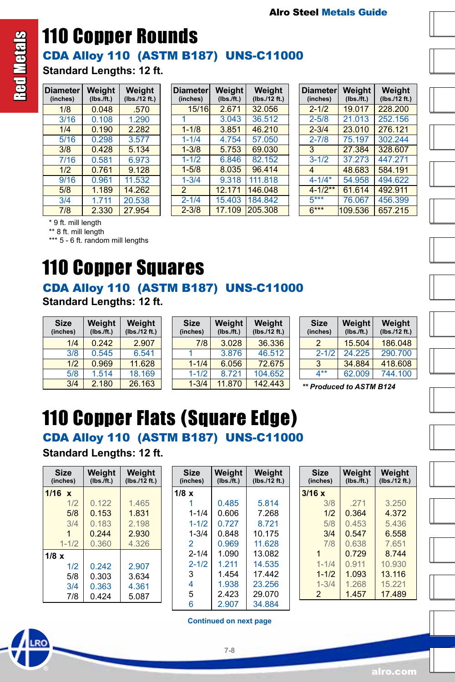

### <span id="page-7-0"></span>CDA Alloy 110 (ASTM B187) UNS-C11000 110 Copper Rounds **Standard Lengths: 12 ft.**

| <b>Diameter</b><br>(inches) | Weight<br>$(Ibs.\bar{f}t.)$ | Weight<br>(Ibs./12 ft.) |
|-----------------------------|-----------------------------|-------------------------|
| 1/8                         | 0.048                       | .570                    |
| 3/16                        | 0.108                       | 1.290                   |
| 1/4                         | 0.190                       | 2.282                   |
| 5/16                        | 0.298                       | 3.577                   |
| 3/8                         | 0.428                       | 5.134                   |
| 7/16                        | 0.581                       | 6.973                   |
| 1/2                         | 0.761                       | 9.128                   |
| 9/16                        | 0.961                       | 11.532                  |
| 5/8                         | 1.189                       | 14.262                  |
| 3/4                         | 1.711                       | 20.538                  |
| 7/8                         | 2.330                       | 27.954                  |

| <b>Diameter</b><br>(inches) | Weight<br>$(Ibs.\bar{f}t.)$ | Weight<br>(Ibs./12 ft.) |
|-----------------------------|-----------------------------|-------------------------|
| 15/16                       | 2.671                       | 32.056                  |
| 1                           | 3.043                       | 36.512                  |
| $1 - 1/8$                   | 3.851                       | 46.210                  |
| $1 - 1/4$                   | 4.754                       | 57.050                  |
| $1 - 3/8$                   | 5.753                       | 69.030                  |
| $1 - 1/2$                   | 6.846                       | 82.152                  |
| $1 - 5/8$                   | 8.035                       | 96.414                  |
| $1 - 3/4$                   | 9.318                       | 111.818                 |
| 2                           | 12.171                      | 146.048                 |
| $2 - 1/4$                   | 15.403                      | 184.842                 |
| $2 - 3/8$                   | 17.109                      | 205.308                 |

| <b>Diameter</b><br>(inches) | Weight<br>$(Ibs.\bar{f}t.)$ | Weight<br>(lbs./12 ft.) |
|-----------------------------|-----------------------------|-------------------------|
| $2 - 1/2$                   | 19.017                      | 228,200                 |
| $2 - 5/8$                   | 21 013                      | 252.156                 |
| $2 - 3/4$                   | 23,010                      | 276.121                 |
| $2 - 7/8$                   | 75.197                      | 302.244                 |
| 3                           | 27 384                      | 328,607                 |
| $3 - 1/2$                   | 37.273                      | 447.271                 |
| $\boldsymbol{\Delta}$       | 48.683                      | 584.191                 |
| $4 - 1/4*$                  | 54.958                      | 494 622                 |
| $4 - 1/2**$                 | 61.614                      | 492.911                 |
| $5***$                      | 76.067                      | 456.399                 |
| $6***$                      | 109.536                     | 657.215                 |

\* 9 ft. mill length

\*\* 8 ft. mill length

\*\*\* 5 - 6 ft. random mill lengths

### 110 Copper Squares

### CDA Alloy 110 (ASTM B187) UNS-C11000

**Standard Lengths: 12 ft.**

| <b>Size</b><br>(inches) | Weight<br>$(Ibs.$ /ft.) | Weight<br>(Ibs./12 ft.) |
|-------------------------|-------------------------|-------------------------|
| 1/4                     | 0.242                   | 2.907                   |
| 3/8                     | 0.545                   | 6.541                   |
| 1/2                     | 0.969                   | 11.628                  |
| 5/8                     | 1.514                   | 18.169                  |
| 3/4                     | 2.180                   | 26.163                  |

| <b>Size</b><br>(inches) | Weight<br>$(Ibs.$ /ft.) | Weight<br>(lbs./12 ft.) |
|-------------------------|-------------------------|-------------------------|
| 7/8                     | 3.028                   | 36.336                  |
|                         | 3.876                   | 46.512                  |
| $1 - 1/4$               | 6.056                   | 72.675                  |
| $1 - 1/2$               | 8.721                   | 104.652                 |
| $1 - 3/4$               | 11.870                  | 142.443                 |

| <b>Size</b><br>(inches) | Weight<br>$(Ibs.$ /ft.) | Weight<br>(lbs./12 ft.) |
|-------------------------|-------------------------|-------------------------|
| 2                       | 15.504                  | 186.048                 |
| $2 - 1/2$               | 24.225                  | 290.700                 |
| 3                       | 34.884                  | 418.608                 |
| $4**$                   | 62.009                  | 744 100                 |

3/4 2.180 26.163 *\*\* Produced to ASTM B124*

# 110 Copper Flats (Square Edge)

CDA Alloy 110 (ASTM B187) UNS-C11000

**Standard Lengths: 12 ft.**

| <b>Size</b><br>(inches) | Weight<br>$(Ibs.$ ft.) | Weight<br>(Ibs./12 ft.) |
|-------------------------|------------------------|-------------------------|
| $1/16 \times$           |                        |                         |
| 1/2                     | 0.122                  | 1.465                   |
| 5/8                     | 0.153                  | 1.831                   |
| 3/4                     | 0.183                  | 2.198                   |
|                         | 0.244                  | 2.930                   |
| $1 - 1/2$               | 0.360                  | 4.326                   |
| $1/8 \times$            |                        |                         |
| 1/2                     | 0.242                  | 2.907                   |
| 5/8                     | 0.303                  | 3.634                   |
| 3/4                     | 0.363                  | 4.361                   |
| 7/8                     | 0.424                  | 5.087                   |

| Size<br>(inches) | Weight<br>(Ibs./ft.) | Weight<br>(Ibs./12 ft.) |
|------------------|----------------------|-------------------------|
| $1/8 \times$     |                      |                         |
|                  | 0.485                | 5.814                   |
| $1 - 1/4$        | 0.606                | 7.268                   |
| $1 - 1/2$        | 0.727                | 8.721                   |
| $1 - 3/4$        | 0.848                | 10 175                  |
| $\mathfrak{p}$   | 0.969                | 11.628                  |
| $2 - 1/4$        | 1.090                | 13.082                  |
| $2 - 1/2$        | 1 2 1 1              | 14.535                  |
| 3                | 1454                 | 17442                   |
| 4                | 1.938                | 23.256                  |
| 5                | 2.423                | 29.070                  |
| 6                | 2.907                | 34.884                  |

| Size<br>(inches) | Weight<br>$(Ibs.\bar{f}t.)$ | Weight<br>(lbs./12 ft.) |
|------------------|-----------------------------|-------------------------|
| 3/16x            |                             |                         |
| 3/8              | .271                        | 3.250                   |
| 1/2              | 0.364                       | 4 3 7 2                 |
| 5/8              | 0.453                       | 5.436                   |
| 3/4              | 0.547                       | 6.558                   |
| 7/8              | 0.638                       | 7.651                   |
| 1                | 0 7 2 9                     | 8 7 4 4                 |
| $1 - 1/4$        | 0.911                       | 10.930                  |
| $1 - 1/2$        | 1.093                       | 13.116                  |
| $1 - 3/4$        | 1.268                       | 15.221                  |
| 2                | 1.457                       | 17.489                  |

**Continued on next page**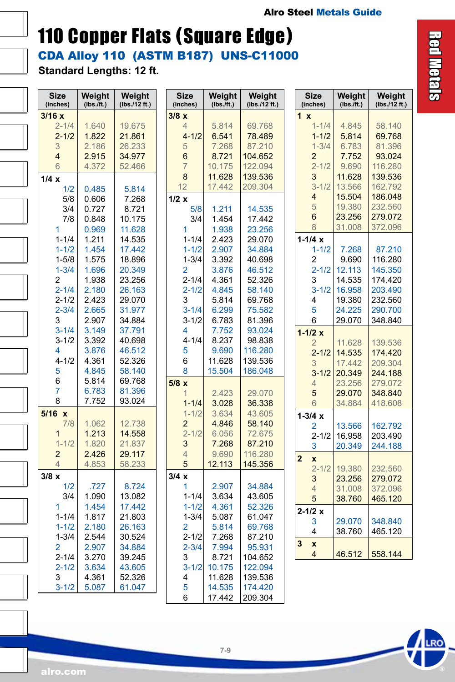### CDA Alloy 110 (ASTM B187) UNS-C11000 110 Copper Flats (Square Edge)

**Standard Lengths: 12 ft.**

 $\overline{a}$ 

I

 $\overline{a}$ 

 $\overline{a}$ 

 $\overline{a}$ 

 $\overline{a}$ 

| 3/16x<br>3/8x<br>1 x<br>$2 - 1/4$<br>1.640<br>19.675<br>5.814<br>69.768<br>$1 - 1/4$<br>4.845<br>4<br>$4 - 1/2$<br>$2 - 1/2$<br>1.822<br>21.861<br>6.541<br>78.489<br>$1 - 1/2$<br>5.814<br>3<br>2.186<br>26.233<br>7.268<br>87.210<br>$1 - 3/4$<br>6.783<br>5<br>$\overline{4}$<br>2.915<br>34.977<br>6<br>8.721<br>104.652<br>$\overline{c}$<br>7.752<br>$\overline{7}$<br>10.175<br>122.094<br>$2 - 1/2$<br>9.690<br>6<br>4.372<br>52.466<br>8<br>11.628<br>139.536<br>3<br>11.628<br>1/4x<br>12<br>$3 - 1/2$<br>13.566<br>17.442<br>209.304<br>1/2<br>0.485<br>5.814<br>15.504<br>4<br>5/8<br>0.606<br>1/2 x<br>7.268<br>5<br>19.380<br>3/4<br>0.727<br>8.721<br>5/8<br>1.211<br>14.535<br>6<br>23.256<br>10.175<br>7/8<br>0.848<br>3/4<br>1.454<br>17.442<br>8<br>31.008<br>1<br>1<br>0.969<br>11.628<br>1.938<br>23.256<br>$1 - 1/4x$<br>$1 - 1/4$<br>1.211<br>14.535<br>$1 - 1/4$<br>2.423<br>29.070 | 58.140<br>69.768<br>81.396<br>93.024<br>116.280<br>139.536<br>162.792<br>186.048<br>232.560<br>279.072<br>372.096 |
|-------------------------------------------------------------------------------------------------------------------------------------------------------------------------------------------------------------------------------------------------------------------------------------------------------------------------------------------------------------------------------------------------------------------------------------------------------------------------------------------------------------------------------------------------------------------------------------------------------------------------------------------------------------------------------------------------------------------------------------------------------------------------------------------------------------------------------------------------------------------------------------------------------------|-------------------------------------------------------------------------------------------------------------------|
|                                                                                                                                                                                                                                                                                                                                                                                                                                                                                                                                                                                                                                                                                                                                                                                                                                                                                                             |                                                                                                                   |
|                                                                                                                                                                                                                                                                                                                                                                                                                                                                                                                                                                                                                                                                                                                                                                                                                                                                                                             |                                                                                                                   |
|                                                                                                                                                                                                                                                                                                                                                                                                                                                                                                                                                                                                                                                                                                                                                                                                                                                                                                             |                                                                                                                   |
|                                                                                                                                                                                                                                                                                                                                                                                                                                                                                                                                                                                                                                                                                                                                                                                                                                                                                                             |                                                                                                                   |
|                                                                                                                                                                                                                                                                                                                                                                                                                                                                                                                                                                                                                                                                                                                                                                                                                                                                                                             |                                                                                                                   |
|                                                                                                                                                                                                                                                                                                                                                                                                                                                                                                                                                                                                                                                                                                                                                                                                                                                                                                             |                                                                                                                   |
|                                                                                                                                                                                                                                                                                                                                                                                                                                                                                                                                                                                                                                                                                                                                                                                                                                                                                                             |                                                                                                                   |
|                                                                                                                                                                                                                                                                                                                                                                                                                                                                                                                                                                                                                                                                                                                                                                                                                                                                                                             |                                                                                                                   |
|                                                                                                                                                                                                                                                                                                                                                                                                                                                                                                                                                                                                                                                                                                                                                                                                                                                                                                             |                                                                                                                   |
|                                                                                                                                                                                                                                                                                                                                                                                                                                                                                                                                                                                                                                                                                                                                                                                                                                                                                                             |                                                                                                                   |
|                                                                                                                                                                                                                                                                                                                                                                                                                                                                                                                                                                                                                                                                                                                                                                                                                                                                                                             |                                                                                                                   |
|                                                                                                                                                                                                                                                                                                                                                                                                                                                                                                                                                                                                                                                                                                                                                                                                                                                                                                             |                                                                                                                   |
|                                                                                                                                                                                                                                                                                                                                                                                                                                                                                                                                                                                                                                                                                                                                                                                                                                                                                                             |                                                                                                                   |
| 1.454<br>17.442<br>2.907<br>$1 - 1/2$<br>$1 - 1/2$<br>$1 - 1/2$<br>34.884<br>7.268                                                                                                                                                                                                                                                                                                                                                                                                                                                                                                                                                                                                                                                                                                                                                                                                                          | 87.210                                                                                                            |
| 1.575<br>18.896<br>$1 - 3/4$<br>3.392<br>2<br>$1 - 5/8$<br>40.698<br>9.690                                                                                                                                                                                                                                                                                                                                                                                                                                                                                                                                                                                                                                                                                                                                                                                                                                  | 116.280                                                                                                           |
| $1 - 3/4$<br>20.349<br>$2 - 1/2$<br>1.696<br>2<br>3.876<br>46.512<br>12.113                                                                                                                                                                                                                                                                                                                                                                                                                                                                                                                                                                                                                                                                                                                                                                                                                                 | 145.350                                                                                                           |
| 2<br>$2 - 1/4$<br>4.361<br>3<br>14.535<br>1.938<br>23.256<br>52.326                                                                                                                                                                                                                                                                                                                                                                                                                                                                                                                                                                                                                                                                                                                                                                                                                                         | 174.420                                                                                                           |
| $2 - 1/4$<br>$3 - 1/2$<br>2.180<br>26.163<br>$2 - 1/2$<br>4.845<br>58.140<br>16.958                                                                                                                                                                                                                                                                                                                                                                                                                                                                                                                                                                                                                                                                                                                                                                                                                         | 203.490                                                                                                           |
| $2 - 1/2$<br>2.423<br>3<br>29.070<br>5.814<br>69.768<br>4<br>19.380                                                                                                                                                                                                                                                                                                                                                                                                                                                                                                                                                                                                                                                                                                                                                                                                                                         | 232.560                                                                                                           |
| $2 - 3/4$<br>2.665<br>31.977<br>$3 - 1/4$<br>6.299<br>75.582<br>5<br>24.225                                                                                                                                                                                                                                                                                                                                                                                                                                                                                                                                                                                                                                                                                                                                                                                                                                 | 290.700                                                                                                           |
| 3<br>2.907<br>34.884<br>$3 - 1/2$<br>6.783<br>81.396<br>6<br>29.070                                                                                                                                                                                                                                                                                                                                                                                                                                                                                                                                                                                                                                                                                                                                                                                                                                         | 348.840                                                                                                           |
| $3 - 1/4$<br>3.149<br>37.791<br>4<br>7.752<br>93.024<br>$1 - 1/2 x$                                                                                                                                                                                                                                                                                                                                                                                                                                                                                                                                                                                                                                                                                                                                                                                                                                         |                                                                                                                   |
| 3.392<br>8.237<br>$3 - 1/2$<br>40.698<br>$4 - 1/4$<br>98.838<br>$\overline{2}$<br>11.628                                                                                                                                                                                                                                                                                                                                                                                                                                                                                                                                                                                                                                                                                                                                                                                                                    | 139.536                                                                                                           |
| 3.876<br>46.512<br>9.690<br>5<br>116.280<br>4<br>$2 - 1/2$<br>14.535                                                                                                                                                                                                                                                                                                                                                                                                                                                                                                                                                                                                                                                                                                                                                                                                                                        | 174.420                                                                                                           |
| 11.628<br>$4 - 1/2$<br>4.361<br>52.326<br>6<br>139.536<br>3<br>17.442                                                                                                                                                                                                                                                                                                                                                                                                                                                                                                                                                                                                                                                                                                                                                                                                                                       | 209.304                                                                                                           |
| 5<br>4.845<br>58.140<br>8<br>15.504<br>186.048<br>$3 - 1/2$<br>20.349                                                                                                                                                                                                                                                                                                                                                                                                                                                                                                                                                                                                                                                                                                                                                                                                                                       | 244.188                                                                                                           |
| 6<br>5.814<br>69.768<br>$\overline{4}$<br>23.256<br>5/8x                                                                                                                                                                                                                                                                                                                                                                                                                                                                                                                                                                                                                                                                                                                                                                                                                                                    | 279.072                                                                                                           |
| 7<br>81.396<br>6.783<br>2.423<br>29.070<br>5<br>29.070<br>1                                                                                                                                                                                                                                                                                                                                                                                                                                                                                                                                                                                                                                                                                                                                                                                                                                                 | 348.840                                                                                                           |
| 8<br>7.752<br>93.024<br>$1 - 1/4$<br>3.028<br>36.338<br>6<br>34.884                                                                                                                                                                                                                                                                                                                                                                                                                                                                                                                                                                                                                                                                                                                                                                                                                                         | 418.608                                                                                                           |
| $5/16$ x<br>$1 - 1/2$<br>3.634<br>43.605<br>$1 - 3/4x$                                                                                                                                                                                                                                                                                                                                                                                                                                                                                                                                                                                                                                                                                                                                                                                                                                                      |                                                                                                                   |
| 7/8<br>12.738<br>$\overline{2}$<br>4.846<br>58.140<br>1.062<br>13.566<br>2                                                                                                                                                                                                                                                                                                                                                                                                                                                                                                                                                                                                                                                                                                                                                                                                                                  | 162.792                                                                                                           |
| 1.213<br>14.558<br>$2 - 1/2$<br>6.056<br>72.675<br>$\mathbf{1}$<br>$2 - 1/2$<br>16.958                                                                                                                                                                                                                                                                                                                                                                                                                                                                                                                                                                                                                                                                                                                                                                                                                      | 203.490                                                                                                           |
| $1 - 1/2$<br>1.820<br>21.837<br>3<br>7.268<br>87.210<br>3<br>20.349                                                                                                                                                                                                                                                                                                                                                                                                                                                                                                                                                                                                                                                                                                                                                                                                                                         | 244.188                                                                                                           |
| $\overline{2}$<br>2.426<br>29.117<br>9.690<br>116.280<br>$\overline{4}$<br>$\overline{2}$<br>X                                                                                                                                                                                                                                                                                                                                                                                                                                                                                                                                                                                                                                                                                                                                                                                                              |                                                                                                                   |
| $\overline{4}$<br>4.853<br>58.233<br>5<br>12.113<br>145.356<br>$2 - 1/2$<br>19.380                                                                                                                                                                                                                                                                                                                                                                                                                                                                                                                                                                                                                                                                                                                                                                                                                          | 232.560                                                                                                           |
| $3/8 \times$<br>3/4x<br>23.256<br>3                                                                                                                                                                                                                                                                                                                                                                                                                                                                                                                                                                                                                                                                                                                                                                                                                                                                         | 279.072                                                                                                           |
| 1/2<br>.727<br>8.724<br>2.907<br>34.884<br>1<br>31.008<br>$\overline{4}$                                                                                                                                                                                                                                                                                                                                                                                                                                                                                                                                                                                                                                                                                                                                                                                                                                    | 372.096                                                                                                           |
| 1.090<br>13.082<br>3.634<br>43.605<br>3/4<br>$1 - 1/4$<br>5<br>38.760                                                                                                                                                                                                                                                                                                                                                                                                                                                                                                                                                                                                                                                                                                                                                                                                                                       | 465.120                                                                                                           |
| 1.454<br>17.442<br>$1 - 1/2$<br>4.361<br>1<br>52.326<br>$2 - 1/2 x$                                                                                                                                                                                                                                                                                                                                                                                                                                                                                                                                                                                                                                                                                                                                                                                                                                         |                                                                                                                   |
| $1 - 1/4$<br>1.817<br>21.803<br>$1 - 3/4$<br>5.087<br>61.047                                                                                                                                                                                                                                                                                                                                                                                                                                                                                                                                                                                                                                                                                                                                                                                                                                                |                                                                                                                   |
| 3<br>29.070<br>$1 - 1/2$<br>2.180<br>26.163<br>$\overline{2}$<br>5.814<br>69.768<br>4<br>38.760                                                                                                                                                                                                                                                                                                                                                                                                                                                                                                                                                                                                                                                                                                                                                                                                             | 348.840<br>465.120                                                                                                |
| $2 - 1/2$<br>$1 - 3/4$<br>2.544<br>30.524<br>7.268<br>87.210                                                                                                                                                                                                                                                                                                                                                                                                                                                                                                                                                                                                                                                                                                                                                                                                                                                |                                                                                                                   |
| 3<br>X<br>$\overline{2}$<br>2.907<br>34.884<br>$2 - 3/4$<br>7.994<br>95.931                                                                                                                                                                                                                                                                                                                                                                                                                                                                                                                                                                                                                                                                                                                                                                                                                                 |                                                                                                                   |
| 4<br>46.512<br>$2 - 1/4$<br>3.270<br>3<br>8.721<br>39.245<br>104.652                                                                                                                                                                                                                                                                                                                                                                                                                                                                                                                                                                                                                                                                                                                                                                                                                                        | 558.144                                                                                                           |
| 3.634<br>43.605<br>$3 - 1/2$<br>10.175<br>$2 - 1/2$<br>122.094                                                                                                                                                                                                                                                                                                                                                                                                                                                                                                                                                                                                                                                                                                                                                                                                                                              |                                                                                                                   |
| 3<br>52.326<br>139.536<br>4.361<br>4<br>11.628                                                                                                                                                                                                                                                                                                                                                                                                                                                                                                                                                                                                                                                                                                                                                                                                                                                              |                                                                                                                   |
| $3 - 1/2$<br>5<br>5.087<br>61.047<br>14.535<br>174.420                                                                                                                                                                                                                                                                                                                                                                                                                                                                                                                                                                                                                                                                                                                                                                                                                                                      |                                                                                                                   |
| 6<br>17.442<br>209.304                                                                                                                                                                                                                                                                                                                                                                                                                                                                                                                                                                                                                                                                                                                                                                                                                                                                                      |                                                                                                                   |

**Red Metals** Red Metals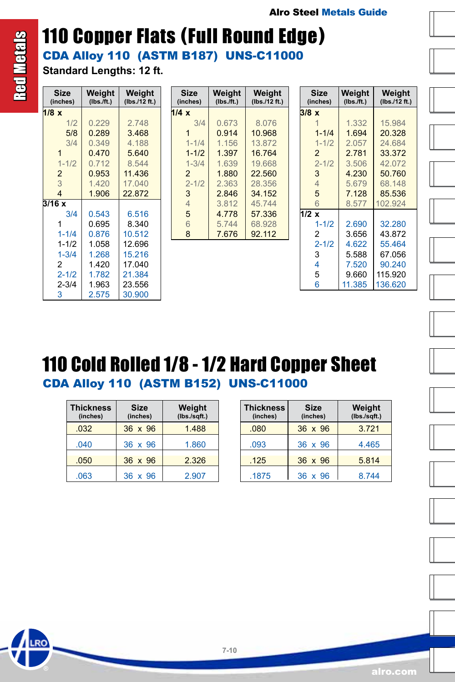### CDA Alloy 110 (ASTM B187) UNS-C11000 110 Copper Flats (Full Round Edge)

**Standard Lengths: 12 ft.**

| Size<br>(inches) | Weight<br>(Ibs. / ft.) | Weight<br>(lbs./12 ft.) |
|------------------|------------------------|-------------------------|
| $1/8 \times$     |                        |                         |
| 1/2              | 0.229                  | 2.748                   |
| 5/8              | 0.289                  | 3.468                   |
| 3/4              | 0.349                  | 4.188                   |
| 1                | 0.470                  | 5.640                   |
| $1 - 1/2$        | 0.712                  | 8.544                   |
| $\overline{2}$   | 0.953                  | 11.436                  |
| 3                | 1.420                  | 17.040                  |
| 4                | 1.906                  | 22.872                  |
| 3/16x            |                        |                         |
| 3/4              | 0.543                  | 6.516                   |
| 1                | 0.695                  | 8.340                   |
| $1 - 1/4$        | 0.876                  | 10.512                  |
| $1 - 1/2$        | 1.058                  | 12.696                  |
| $1 - 3/4$        | 1.268                  | 15.216                  |
| 2                | 1.420                  | 17.040                  |
| $2 - 1/2$        | 1.782                  | 21.384                  |
| $2 - 3/4$        | 1.963                  | 23.556                  |
| 3                | 2.575                  | 30.900                  |

| Size<br>(inches) | Weight<br>(Ibs. / ft.) | Weight<br>(lbs./12 ft.) |
|------------------|------------------------|-------------------------|
| 1/4x             |                        |                         |
| 3/4              | 0.673                  | 8.076                   |
|                  | 0.914                  | 10.968                  |
| $1 - 1/4$        | 1.156                  | 13.872                  |
| $1 - 1/2$        | 1.397                  | 16.764                  |
| $1 - 3/4$        | 1.639                  | 19.668                  |
| $\overline{2}$   | 1.880                  | 22,560                  |
| $2 - 1/2$        | 2.363                  | 28.356                  |
| 3                | 2846                   | 34 152                  |
| $\overline{4}$   | 3.812                  | 45.744                  |
| 5                | 4.778                  | 57.336                  |
| 6                | 5.744                  | 68.928                  |
| 8                | 7.676                  | 92.112                  |

| <b>Size</b><br>(inches) | Weight<br>(Ibs./ft.) | Weight<br>(lbs./12 ft.) |
|-------------------------|----------------------|-------------------------|
| 3/8x                    |                      |                         |
| 1                       | 1.332                | 15.984                  |
| $1 - 1/4$               | 1.694                | 20.328                  |
| $1 - 1/2$               | 2.057                | 24.684                  |
| $\overline{2}$          | 2.781                | 33.372                  |
| $2 - 1/2$               | 3.506                | 42.072                  |
| 3                       | 4.230                | 50.760                  |
| $\overline{4}$          | 5.679                | 68.148                  |
| 5                       | 7.128                | 85.536                  |
| 6                       | 8.577                | 102.924                 |
| 1/2 x                   |                      |                         |
| $1 - 1/2$               | 2.690                | 32.280                  |
| 2                       | 3.656                | 43.872                  |
| $2 - 1/2$               | 4.622                | 55.464                  |
| 3                       | 5.588                | 67.056                  |
| 4                       | 7.520                | 90.240                  |
| 5                       | 9.660                | 115.920                 |
| 6                       | 11.385               | 136.620                 |

### CDA Alloy 110 (ASTM B152) UNS-C11000 110 Cold Rolled 1/8 - 1/2 Hard Copper Sheet

| <b>Thickness</b><br>(inches) | <b>Size</b><br>(inches) | Weight<br>(lbs./sqft.) |
|------------------------------|-------------------------|------------------------|
| .032                         | 36 x 96                 | 1488                   |
| .040                         | 36 x 96                 | 1.860                  |
| .050                         | 36 x 96                 | 2.326                  |
| .063                         | 36 x 96                 | 2.907                  |

| <b>Thickness</b><br>(inches) | <b>Size</b><br>(inches) | Weight<br>(lbs./sqft.) |
|------------------------------|-------------------------|------------------------|
| .080                         | 36 x 96                 | 3.721                  |
| .093                         | 36 x 96                 | 4.465                  |
| .125                         | 36 x 96                 | 5.814                  |
| .1875                        | 36 x 96                 | 8.744                  |





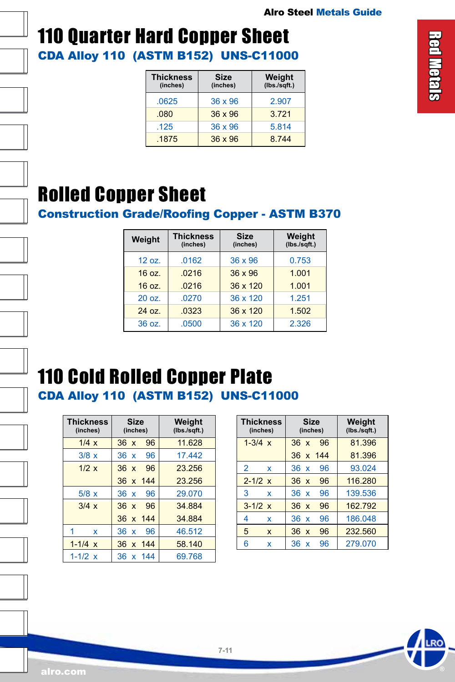

### CDA Alloy 110 (ASTM B152) UNS-C11000 110 Quarter Hard Copper Sheet

| <b>Thickness</b><br>(inches) | <b>Size</b><br>(inches) | Weight<br>(lbs./sqrt. |
|------------------------------|-------------------------|-----------------------|
| .0625                        | $36 \times 96$          | 2.907                 |
| 080                          | $36 \times 96$          | 3721                  |
| .125                         | $36 \times 96$          | 5.814                 |
| .1875                        | $36 \times 96$          | 8 7 4 4               |

### Rolled Copper Sheet

Construction Grade/Roofing Copper - ASTM B370

| Weight | <b>Thickness</b><br>(inches) | <b>Size</b><br>(inches) | Weight<br>$(Ibs./sqrt$ .) |
|--------|------------------------------|-------------------------|---------------------------|
| 12 oz. | .0162                        | 36 x 96                 | 0.753                     |
| 16 oz. | .0216                        | $36 \times 96$          | 1.001                     |
| 16 oz. | .0216                        | 36 x 120                | 1.001                     |
| 20 oz. | .0270                        | 36 x 120                | 1.251                     |
| 24 oz. | .0323                        | 36 x 120                | 1.502                     |
| 36 oz. | .0500                        | 36 x 120                | 2.326                     |

# 110 Cold Rolled Copper Plate

CDA Alloy 110 (ASTM B152) UNS-C11000

| <b>Thickness</b><br>(inches) | <b>Size</b><br>(inches) | Weight<br>(lbs./sqft.) |
|------------------------------|-------------------------|------------------------|
| 1/4x                         | 96<br>36x               | 11.628                 |
| 3/8x                         | 36 x 96                 | 17442                  |
| 1/2 x                        | 96<br>$36 \times$       | 23.256                 |
|                              | 36 x 144                | 23.256                 |
| 5/8x                         | 36 x 96                 | 29.070                 |
| $3/4 \times$                 | 36 x 96                 | 34 884                 |
|                              | 36 x 144                | 34.884                 |
| 1<br>x                       | 96<br>36x               | 46.512                 |
| $1 - 1/4 x$                  | 36 x 144                | 58.140                 |
| $1 - 1/2 x$                  | 36 x 144                | 69.768                 |

| <b>Thickness</b><br>(inches) | <b>Size</b><br>(inches)               | Weight<br>(lbs./sqrt. |
|------------------------------|---------------------------------------|-----------------------|
| $1 - 3/4 x$                  | 96<br>36x                             | 81.396                |
|                              | 36 x 144                              | 81.396                |
| $\overline{2}$<br>x          | 36 x<br>96                            | 93.024                |
| $2 - 1/2 x$                  | 36x<br>96                             | 116.280               |
| 3<br>x                       | 96<br>36 x                            | 139.536               |
| $3 - 1/2 \times$             | 36x<br>96                             | 162.792               |
| 4<br>x                       | 36 x<br>96                            | 186.048               |
| 5<br>X                       | 36x<br>96                             | 232.560               |
| 6<br>x                       | 96<br>36<br>$\boldsymbol{\mathsf{x}}$ | 279.070               |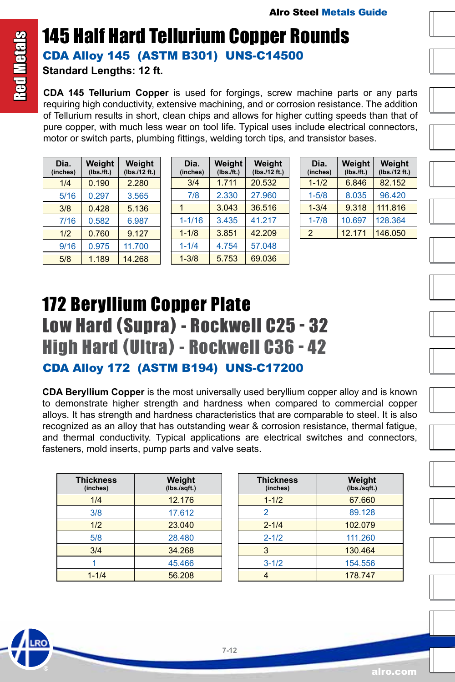### <span id="page-11-0"></span>145 Half Hard Tellurium Copper Rounds CDA Alloy 145 (ASTM B301) UNS-C14500

**Standard Lengths: 12 ft.**

**CDA 145 Tellurium Copper** is used for forgings, screw machine parts or any parts requiring high conductivity, extensive machining, and or corrosion resistance. The addition of Tellurium results in short, clean chips and allows for higher cutting speeds than that of pure copper, with much less wear on tool life. Typical uses include electrical connectors, motor or switch parts, plumbing fittings, welding torch tips, and transistor bases.

| Dia.<br>(inches) | Weight<br>$(Ibs.\bar{f}t.)$ | Weight<br>(Ibs./12 ft.) |
|------------------|-----------------------------|-------------------------|
| 1/4              | 0.190                       | 2.280                   |
| 5/16             | 0.297                       | 3.565                   |
| 3/8              | 0.428                       | 5.136                   |
| 7/16             | 0.582                       | 6.987                   |
| 1/2              | 0.760                       | 9.127                   |
| 9/16             | 0.975                       | 11.700                  |
| 5/8              | 1.189                       | 14.268                  |

| Dia.<br>(inches) | Weight<br>$(Ibs.\bar{f}t.)$ | Weight<br>(Ibs./12 ft.) |
|------------------|-----------------------------|-------------------------|
| 3/4              | 1.711                       | 20.532                  |
| 7/8              | 2.330                       | 27.960                  |
| 1                | 3.043                       | 36.516                  |
| $1 - 1/16$       | 3.435                       | 41.217                  |
| $1 - 1/8$        | 3.851                       | 42.209                  |
| $1 - 1/4$        | 4.754                       | 57.048                  |
| $1 - 3/8$        | 5.753                       | 69.036                  |

| Dia.<br>(inches) | Weight<br>$(Ibs.\bar{f}t.)$ | Weight<br>(lbs.12 ft.) |
|------------------|-----------------------------|------------------------|
| $1 - 1/2$        | 6.846                       | 82.152                 |
| $1 - 5/8$        | 8.035                       | 96.420                 |
| $1 - 3/4$        | 9.318                       | 111.816                |
| $1 - 7/8$        | 10.697                      | 128.364                |
| $\mathcal{P}$    | 12.171                      | 146.050                |

### 172 Beryllium Copper Plate Low Hard (Supra) - Rockwell C25 - 32 High Hard (Ultra) - Rockwell C36 - 42 CDA Alloy 172 (ASTM B194) UNS-C17200

**CDA Beryllium Copper** is the most universally used beryllium copper alloy and is known to demonstrate higher strength and hardness when compared to commercial copper alloys. It has strength and hardness characteristics that are comparable to steel. It is also recognized as an alloy that has outstanding wear & corrosion resistance, thermal fatigue, and thermal conductivity. Typical applications are electrical switches and connectors, fasteners, mold inserts, pump parts and valve seats.

| <b>Thickness</b><br>(inches) | Weight<br>(lbs./sqft.) |
|------------------------------|------------------------|
| 1/4                          | 12.176                 |
| 3/8                          | 17.612                 |
| 1/2                          | 23.040                 |
| 5/8                          | 28.480                 |
| 3/4                          | 34.268                 |
|                              | 45.466                 |
| $1 - 1/4$                    | 56.208                 |

| <b>Thickness</b><br>(inches) | Weight<br>(lbs./sqft.) |
|------------------------------|------------------------|
| $1 - 1/2$                    | 67.660                 |
| 2                            | 89.128                 |
| $2 - 1/4$                    | 102.079                |
| $2 - 1/2$                    | 111.260                |
| 3                            | 130.464                |
| $3 - 1/2$                    | 154.556                |
|                              | 178.747                |

alro.com

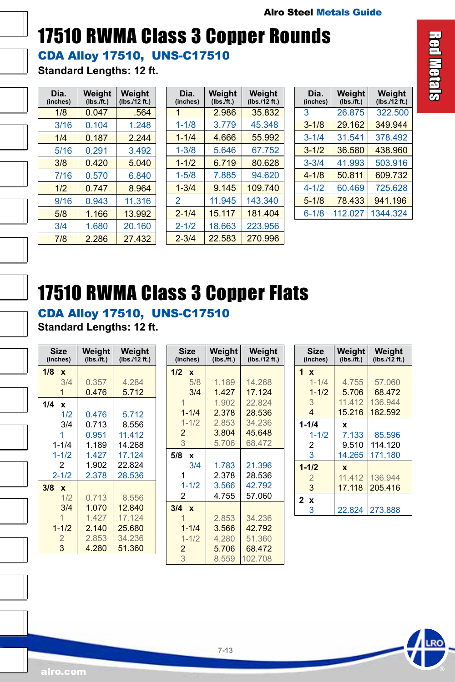# <span id="page-12-0"></span>17510 RWMA Class 3 Copper Rounds

CDA Alloy 17510, UNS-C17510

**Standard Lengths: 12 ft.**

| Dia.<br>(inches) | Weight<br>(Ibs./ft.) | Weight<br>(lbs./12 ft.) |
|------------------|----------------------|-------------------------|
| 1/8              | 0.047                | .564                    |
| 3/16             | 0.104                | 1.248                   |
| 1/4              | 0.187                | 2.244                   |
| 5/16             | 0.291                | 3.492                   |
| 3/8              | 0.420                | 5.040                   |
| 7/16             | 0.570                | 6.840                   |
| 1/2              | 0.747                | 8.964                   |
| 9/16             | 0.943                | 11.316                  |
| 5/8              | 1.166                | 13.992                  |
| 3/4              | 1.680                | 20.160                  |
| 7/8              | 2.286                | 27.432                  |

| Dia.<br>(inches) | Weight<br>(Ibs./ft.) | Weight<br>(Ibs./12 ft.) |
|------------------|----------------------|-------------------------|
| 1                | 2.986                | 35.832                  |
| $1 - 1/8$        | 3.779                | 45.348                  |
| $1 - 1/4$        | 4.666                | 55.992                  |
| $1 - 3/8$        | 5.646                | 67.752                  |
| $1 - 1/2$        | 6.719                | 80.628                  |
| $1 - 5/8$        | 7.885                | 94.620                  |
| $1 - 3/4$        | 9.145                | 109.740                 |
| $\mathfrak{p}$   | 11.945               | 143.340                 |
| $2 - 1/4$        | 15.117               | 181.404                 |
| $2 - 1/2$        | 18.663               | 223.956                 |
| $2 - 3/4$        | 22.583               | 270.996                 |

| Dia.<br>(inches) | Weight<br>$(Ibs.$ /ft.) | Weight<br>(lbs./12 ft.) |
|------------------|-------------------------|-------------------------|
| 3                | 26.875                  | 322.500                 |
| $3 - 1/8$        | 29.162                  | 349.944                 |
| $3 - 1/4$        | 31.541                  | 378.492                 |
| $3 - 1/2$        | 36.580                  | 438.960                 |
| $3 - 3/4$        | 41.993                  | 503.916                 |
| $4 - 1/8$        | 50.811                  | 609.732                 |
| $4 - 1/2$        | 60.469                  | 725.628                 |
| $5 - 1/8$        | 78.433                  | 941.196                 |
| $6 - 1/8$        | 112.027                 | 1344.324                |

### 17510 RWMA Class 3 Copper Flats

CDA Alloy 17510, UNS-C17510 **Standard Lengths: 12 ft.**

| <b>Size</b><br>(inches) | Weight<br>(Ibs./ft.) | Weight<br>(lbs./12 ft.) |
|-------------------------|----------------------|-------------------------|
| 1/8<br>$\mathbf{x}$     |                      |                         |
| 3/4                     | 0.357                | 4.284                   |
| 1                       | 0.476                | 5.712                   |
| 1/4<br>$\mathbf{x}$     |                      |                         |
| 1/2                     | 0.476                | 5.712                   |
| 3/4                     | 0.713                | 8.556                   |
|                         | 0.951                | 11 4 12                 |
| $1 - 1/4$               | 1.189                | 14.268                  |
| $1 - 1/2$               | 1.427                | 17.124                  |
| $\overline{2}$          | 1.902                | 22.824                  |
| $2 - 1/2$               | 2.378                | 28.536                  |
| $3/8 \times$            |                      |                         |
| 1/2                     | 0.713                | 8.556                   |
| 3/4                     | 1.070                | 12.840                  |
| 1                       | 1.427                | 17.124                  |
| $1 - 1/2$               | 2.140                | 25.680                  |
| $\overline{2}$          | 2.853                | 34.236                  |
| 3                       | 4.280                | 51.360                  |

| Size<br>(inches)    | Weight<br>(Ibs./ft.) | Weight<br>(lbs./12 ft.) |
|---------------------|----------------------|-------------------------|
| $1/2 \times$        |                      |                         |
| 5/8                 | 1.189                | 14.268                  |
| 3/4                 | 1.427                | 17.124                  |
| 1                   | 1.902                | 22.824                  |
| $1 - 1/4$           | 2.378                | 28.536                  |
| $1 - 1/2$           | 2.853                | 34.236                  |
| $\overline{2}$      | 3.804                | 45.648                  |
| 3                   | 5.706                | 68.472                  |
| 5/8<br>x            |                      |                         |
| 3/4                 | 1.783                | 21.396                  |
| 1                   | 2.378                | 28.536                  |
| $1 - 1/2$           | 3.566                | 42.792                  |
| 2                   | 4.755                | 57.060                  |
| 3/4<br>$\mathbf{x}$ |                      |                         |
|                     | 2.853                | 34.236                  |
| $1 - 1/4$           | 3.566                | 42.792                  |
| $1 - 1/2$           | 4.280                | 51.360                  |
| $\overline{2}$      | 5.706                | 68.472                  |
| 3                   | 8.559                | 102.708                 |

| <b>Size</b><br>(inches) | Weight<br>(Ibs./ft.) | Weight<br>(lbs./12 ft.) |
|-------------------------|----------------------|-------------------------|
| 1 x                     |                      |                         |
| $1 - 1/4$               | 4.755                | 57.060                  |
| $1 - 1/2$               | 5.706                | 68.472                  |
| 3                       | 11.412               | 136.944                 |
| $\overline{4}$          | 15.216               | 182.592                 |
| $1 - 1/4$               | X                    |                         |
| $1 - 1/2$               | 7.133                | 85.596                  |
| 2                       | 9.510                | 114.120                 |
| 3                       | 14.265               | 171.180                 |
| $1 - 1/2$               | $\mathbf x$          |                         |
| $\overline{2}$          | 11.412               | 136.944                 |
| 3                       | 17.118               | 205.416                 |
| 2 x                     |                      |                         |
| 3                       | 22.824               | 273.888                 |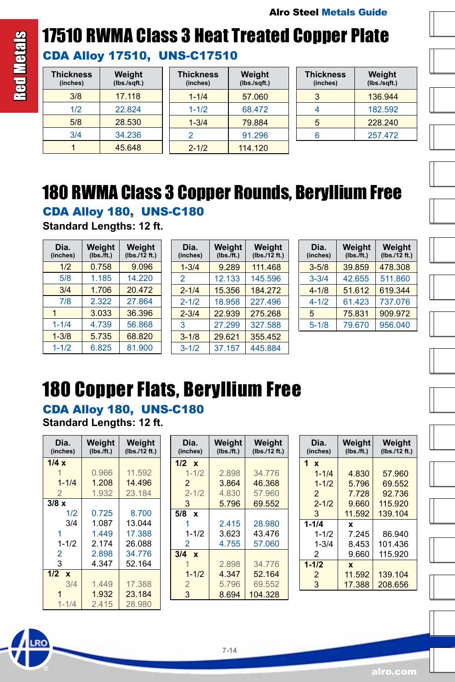# <span id="page-13-0"></span>**Red Metals** Red Metals

# 17510 RWMA Class 3 Heat Treated Copper Plate

CDA Alloy 17510, UNS-C17510

| <b>Thickness</b><br>(inches) | Weight<br>$(Ibs./sqrt$ .) |
|------------------------------|---------------------------|
| 3/8                          | 17.118                    |
| 1/2                          | 22.824                    |
| 5/8                          | 28.530                    |
| 3/4                          | 34.236                    |
|                              | 45 648                    |

| <b>Thickness</b><br>(inches) | Weight<br>(Ibs./sqft.) |
|------------------------------|------------------------|
| $1 - 1/4$                    | 57.060                 |
| $1 - 1/2$                    | 68.472                 |
| $1 - 3/4$                    | 79.884                 |
| 2                            | 91.296                 |
| $2 - 1/2$                    | 114.120                |

| <b>Thickness</b><br>(inches) | Weight<br>(lbs./sqrt. |
|------------------------------|-----------------------|
| 3                            | 136.944               |
|                              | 182 592               |
| 5                            | 228.240               |
| հ                            | 257 472               |

### 180 RWMA Class 3 Copper Rounds, Beryllium Free

CDA Alloy 180, UNS-C180

**Standard Lengths: 12 ft.**

| Dia.<br>(inches) | Weight<br>$(Ibs.\bar{f}t.)$ | Weight<br>(Ibs./12 ft.) |
|------------------|-----------------------------|-------------------------|
| 1/2              | 0.758                       | 9.096                   |
| 5/8              | 1.185                       | 14.220                  |
| 3/4              | 1.706                       | 20.472                  |
| 7/8              | 2.322                       | 27.864                  |
| 1                | 3.033                       | 36.396                  |
| $1 - 1/4$        | 4.739                       | 56.868                  |
| $1 - 3/8$        | 5.735                       | 68.820                  |
| $1 - 1/2$        | 6.825                       | 81.900                  |

| Dia.<br>(inches) | Weight<br>(Ibs./ft.) | Weight<br>(lbs./12 ft.) |
|------------------|----------------------|-------------------------|
| $1 - 3/4$        | 9.289                | 111.468                 |
| $\mathcal{P}$    | 12.133               | 145.596                 |
| $2 - 1/4$        | 15.356               | 184.272                 |
| $2 - 1/2$        | 18.958               | 227.496                 |
| $2 - 3/4$        | 22.939               | 275.268                 |
| 3                | 27.299               | 327.588                 |
| $3 - 1/8$        | 29.621               | 355.452                 |
| $3 - 1/2$        | 37.157               | 445.884                 |

| Dia.<br>(inches) | Weight<br>$(Ibs.\bar{f}t.)$ | Weight<br>(Ibs./12 ft.) |
|------------------|-----------------------------|-------------------------|
| $3 - 5/8$        | 39.859                      | 478.308                 |
| $3 - 3/4$        | 42.655                      | 511.860                 |
| $4 - 1/8$        | 51.612                      | 619.344                 |
| $4 - 1/2$        | 61.423                      | 737.076                 |
| 5                | 75.831                      | 909.972                 |
| $5 - 1/8$        | 79.670                      | 956.040                 |
|                  |                             |                         |

# 180 Copper Flats, Beryllium Free

CDA Alloy 180, UNS-C180 **Standard Lengths: 12 ft.**

| Dia.<br>(inches)    | Weight<br>(Ibs./ft.) | Weight<br>(lbs./12 ft.) |
|---------------------|----------------------|-------------------------|
| 1/4x                |                      |                         |
|                     | 0.966                | 11.592                  |
| $1 - 1/4$           | 1.208                | 14 496                  |
| $\overline{2}$      | 1.932                | 23.184                  |
| $3/8 \times$        |                      |                         |
| 1/2                 | 0.725                | 8.700                   |
| 3/4                 | 1.087                | 13.044                  |
| 1                   | 1449                 | 17.388                  |
| $1 - 1/2$           | 2.174                | 26.088                  |
| 2                   | 2.898                | 34 776                  |
| 3                   | 4.347                | 52.164                  |
| 1/2<br>$\mathbf{x}$ |                      |                         |
| 3/4                 | 1.449                | 17.388                  |
|                     | 1.932                | 23.184                  |
| $1 - 1/4$           | 2.415                | 28.980                  |

| Dia.<br>(inches) | Weight<br>(Ibs./ft.) | Weight<br>(lbs./12 ft.) |
|------------------|----------------------|-------------------------|
| $1/2 \times$     |                      |                         |
| $1 - 1/2$        | 2.898                | 34.776                  |
| $\overline{2}$   | 3.864                | 46.368                  |
| $2 - 1/2$        | 4.830                | 57.960                  |
| 3                | 5.796                | 69.552                  |
| $5/8$ $x$        |                      |                         |
|                  | 2.415                | 28.980                  |
| $1 - 1/2$        | 3.623                | 43.476                  |
| 2                | 4.755                | 57.060                  |
| $3/4 \times$     |                      |                         |
|                  | 2.898                | 34.776                  |
| $1 - 1/2$        | 4.347                | 52.164                  |
| $\overline{2}$   | 5.796                | 69.552                  |
| 3                | 8.694                | 104.328                 |

| Dia.<br>(inches) | Weight<br>(Ibs./ft.) | Weight<br>(lbs./12 ft.) |
|------------------|----------------------|-------------------------|
| 1<br>$\mathbf x$ |                      |                         |
| $1 - 1/4$        | 4.830                | 57.960                  |
| $1 - 1/2$        | 5.796                | 69.552                  |
| 2                | 7.728                | 92.736                  |
| $2 - 1/2$        | 9.660                | 115.920                 |
| 3                | 11.592               | 139.104                 |
| $1 - 1/4$        | x                    |                         |
| $1 - 1/2$        | 7 245                | 86.940                  |
| $1 - 3/4$        | 8.453                | 101.436                 |
| 2                | 9.660                | 115.920                 |
| $1 - 1/2$        | x                    |                         |
| 2                | 11.592               | 139.104                 |
| 3                | 17.388               | 208.656                 |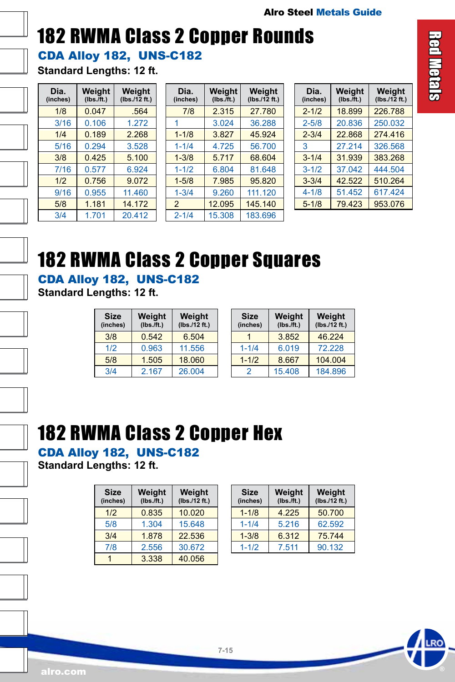### <span id="page-14-0"></span>CDA Alloy 182, UNS-C182 182 RWMA Class 2 Copper Rounds

**Standard Lengths: 12 ft.**

| Dia.<br>(inches) | Weight<br>$(Ibs.\bar{f}t.)$ | Weight<br>(lbs./12 ft.) |
|------------------|-----------------------------|-------------------------|
| 1/8              | 0.047                       | .564                    |
| 3/16             | 0.106                       | 1.272                   |
| 1/4              | 0.189                       | 2.268                   |
| 5/16             | 0.294                       | 3.528                   |
| 3/8              | 0.425                       | 5.100                   |
| 7/16             | 0.577                       | 6.924                   |
| 1/2              | 0.756                       | 9.072                   |
| 9/16             | 0.955                       | 11.460                  |
| 5/8              | 1.181                       | 14.172                  |
| 3/4              | 1.701                       | 20.412                  |

| Dia.<br>(inches) | Weight<br>$(Ibs.\bar{f}t.)$ | Weight<br>(lbs./12 ft.) |
|------------------|-----------------------------|-------------------------|
| 7/8              | 2.315                       | 27.780                  |
| 1                | 3.024                       | 36.288                  |
| $1 - 1/8$        | 3.827                       | 45.924                  |
| $1 - 1/4$        | 4.725                       | 56.700                  |
| $1 - 3/8$        | 5.717                       | 68.604                  |
| $1 - 1/2$        | 6.804                       | 81.648                  |
| $1 - 5/8$        | 7.985                       | 95.820                  |
| $1 - 3/4$        | 9.260                       | 111.120                 |
| $\overline{2}$   | 12.095                      | 145.140                 |
| $2 - 1/4$        | 15.308                      | 183.696                 |

| Dia.<br>(inches) | Weight<br>$(Ibs.\bar{f}t.)$ | Weight<br>(lbs./12 ft.) |
|------------------|-----------------------------|-------------------------|
| $2 - 1/2$        | 18.899                      | 226.788                 |
| $2 - 5/8$        | 20.836                      | 250.032                 |
| $2 - 3/4$        | 22.868                      | 274.416                 |
| 3                | 27.214                      | 326.568                 |
| $3 - 1/4$        | 31.939                      | 383.268                 |
| $3 - 1/2$        | 37.042                      | 444.504                 |
| $3 - 3/4$        | 42.522                      | 510.264                 |
| $4 - 1/8$        | 51.452                      | 617.424                 |
| $5 - 1/8$        | 79.423                      | 953.076                 |

### 182 RWMA Class 2 Copper Squares

CDA Alloy 182, UNS-C182

**Standard Lengths: 12 ft.**

| Size<br>(inches) | Weight<br>$(Ibs.\bar{f}t.)$ | Weight<br>(Ibs./12 ft.) |
|------------------|-----------------------------|-------------------------|
| 3/8              | 0.542                       | 6.504                   |
| 1/2              | 0.963                       | 11.556                  |
| 5/8              | 1.505                       | 18.060                  |
| 3/4              | 2.167                       | 26.004                  |

| <b>Size</b><br>(inches) | Weight<br>$(Ibs.\bar{f}t.)$ | Weight<br>(Ibs./12 ft.) |
|-------------------------|-----------------------------|-------------------------|
|                         | 3.852                       | 46.224                  |
| $1 - 1/4$               | 6.019                       | 72.228                  |
| $1 - 1/2$               | 8.667                       | 104.004                 |
| 2                       | 15.408                      | 184.896                 |

### 182 RWMA Class 2 Copper Hex

CDA Alloy 182, UNS-C182

**Standard Lengths: 12 ft.**

| Size<br>(inches) | Weight<br>$(Ibs.\bar{f}t.)$ | Weight<br>(lbs.12 ft.) |
|------------------|-----------------------------|------------------------|
| 1/2              | 0.835                       | 10.020                 |
| 5/8              | 1.304                       | 15.648                 |
| 3/4              | 1.878                       | 22.536                 |
| 7/8              | 2.556                       | 30.672                 |
|                  | 3.338                       | 40.056                 |

| <b>Size</b><br>(inches) | Weight<br>$(Ibs.\bar{f}t.)$ | Weight<br>(Ibs./12 ft.) |
|-------------------------|-----------------------------|-------------------------|
| $1 - 1/8$               | 4.225                       | 50.700                  |
| $1 - 1/4$               | 5.216                       | 62.592                  |
| $1 - 3/8$               | 6.312                       | 75.744                  |
| $1 - 1/2$               | 7.511                       | 90.132                  |

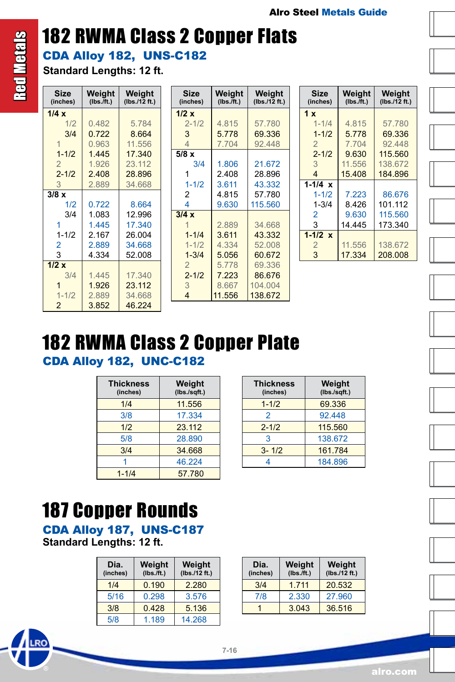**Weight (lbs./12 ft.)**

### CDA Alloy 182, UNS-C182 182 RWMA Class 2 Copper Flats

**Standard Lengths: 12 ft.**

| <b>Size</b><br>(inches) | Weight<br>$(Ibs.\bar{f}t.)$ | Weight<br>(lbs./12 ft.) | <b>Size</b><br>(inches) | Weight<br>$(Ibs.$ /ft.) | Weigh<br>(lbs./12 $ft$ |
|-------------------------|-----------------------------|-------------------------|-------------------------|-------------------------|------------------------|
| 1/4x                    |                             |                         | 1/2x                    |                         |                        |
| 1/2                     | 0.482                       | 5.784                   | $2 - 1/2$               | 4.815                   | 57.780                 |
| 3/4                     | 0.722                       | 8.664                   | 3                       | 5.778                   | 69.336                 |
|                         | 0.963                       | 11.556                  | 4                       | 7.704                   | 92.448                 |
| $1 - 1/2$               | 1.445                       | 17.340                  | 5/8x                    |                         |                        |
| $\overline{2}$          | 1.926                       | 23.112                  | 3/4                     | 1.806                   | 21.672                 |
| $2 - 1/2$               | 2.408                       | 28.896                  |                         | 2.408                   | 28.896                 |
| 3                       | 2.889                       | 34.668                  | $1 - 1/2$               | 3.611                   | 43.332                 |
| $3/8 \times$            |                             |                         | 2                       | 4.815                   | 57.780                 |
| 1/2                     | 0.722                       | 8.664                   | 4                       | 9.630                   | 115.560                |
| 3/4                     | 1.083                       | 12.996                  | 3/4x                    |                         |                        |
|                         | 1.445                       | 17.340                  |                         | 2.889                   | 34.668                 |
| $1 - 1/2$               | 2.167                       | 26.004                  | $1 - 1/4$               | 3.611                   | 43.332                 |
| $\overline{2}$          | 2.889                       | 34.668                  | $1 - 1/2$               | 4.334                   | 52.008                 |
| 3                       | 4.334                       | 52.008                  | $1 - 3/4$               | 5.056                   | 60.672                 |
| 1/2 x                   |                             |                         | $\overline{2}$          | 5.778                   | 69.336                 |
| 3/4                     | 1.445                       | 17.340                  | $2 - 1/2$               | 7.223                   | 86.676                 |
|                         | 1.926                       | 23.112                  | 3                       | 8.667                   | 104.004                |
| $1 - 1/2$               | 2.889                       | 34.668                  | 4                       | 11.556                  | 138.672                |
| $\overline{2}$          | 3.852                       | 46.224                  |                         |                         |                        |

| Size<br>(inches) | Weight<br>(Ibs./ft.) | Weight<br>(lbs./12 ft.) |
|------------------|----------------------|-------------------------|
| 1x               |                      |                         |
| $1 - 1/4$        | 4.815                | 57.780                  |
| $1 - 1/2$        | 5.778                | 69.336                  |
| 2                | 7.704                | 92.448                  |
| $2 - 1/2$        | 9.630                | 115.560                 |
| 3                | 11.556               | 138.672                 |
| 4                | 15.408               | 184 896                 |
| $1 - 1/4 x$      |                      |                         |
| $1 - 1/2$        | 7.223                | 86.676                  |
| $1 - 3/4$        | 8.426                | 101.112                 |
| $\overline{2}$   | 9.630                | 115.560                 |
| 3                | 14.445               | 173.340                 |
| $1 - 1/2 x$      |                      |                         |
| 2                | 11.556               | 138.672                 |
| 3                | 17.334               | 208,008                 |

### CDA Alloy 182, UNC-C182 182 RWMA Class 2 Copper Plate

| <b>Thickness</b><br>(inches) | Weight<br>(lbs./sqrt. |
|------------------------------|-----------------------|
| 1/4                          | 11.556                |
| 3/8                          | 17.334                |
| 1/2                          | 23.112                |
| 5/8                          | 28.890                |
| 3/4                          | 34.668                |
|                              | 46.224                |
| $1 - 1/4$                    | 57.780                |

| <b>Thickness</b><br>(inches) | Weight<br>(lbs./sqrt. |
|------------------------------|-----------------------|
| $1 - 1/2$                    | 69.336                |
| 2                            | 92 448                |
| $2 - 1/2$                    | 115.560               |
| 3                            | 138.672               |
| $3 - 1/2$                    | 161.784               |
|                              | 184.896               |

### 187 Copper Rounds

CDA Alloy 187, UNS-C187 **Standard Lengths: 12 ft.**

RO

| Dia.<br>(inches) | Weight<br>$(Ibs.\bar{f}t.)$ | Weight<br>(Ibs./12 ft.) |
|------------------|-----------------------------|-------------------------|
| 1/4              | 0.190                       | 2.280                   |
| 5/16             | 0.298                       | 3.576                   |
| 3/8              | 0.428                       | 5.136                   |
| 5/8              | 1.189                       | 14.268                  |

| Dia.<br>(inches) | Weight<br>$(Ibs.$ /ft.) | Weight<br>(Ibs./12 ft.) |
|------------------|-------------------------|-------------------------|
| 3/4              | 1 7 1 1                 | 20.532                  |
| 7/8              | 2.330                   | 27,960                  |
|                  | 3.043                   | 36.516                  |

Red Metals

<span id="page-15-0"></span>**Red Metals** 

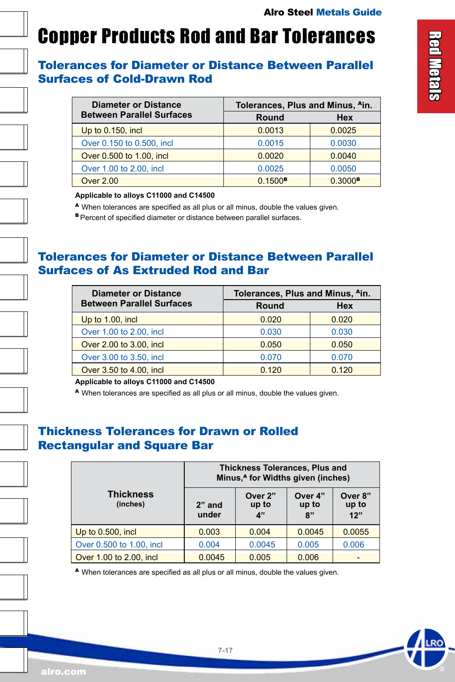### <span id="page-16-0"></span>Copper Products Rod and Bar Tolerances

#### Tolerances for Diameter or Distance Between Parallel Surfaces of Cold-Drawn Rod

| <b>Diameter or Distance</b>      | Tolerances, Plus and Minus, <sup>A</sup> in. |                       |  |
|----------------------------------|----------------------------------------------|-----------------------|--|
| <b>Between Parallel Surfaces</b> | Round                                        | <b>Hex</b>            |  |
| Up to $0.150$ , incl             | 0.0013                                       | 0.0025                |  |
| Over 0.150 to 0.500, incl.       | 0.0015                                       | 0.0030                |  |
| Over 0.500 to 1.00, incl         | 0.0020                                       | 0.0040                |  |
| Over 1.00 to 2.00, incl.         | 0.0025                                       | 0.0050                |  |
| <b>Over 2.00</b>                 | $0.1500$ <sup>B</sup>                        | $0.3000$ <sup>B</sup> |  |

**Applicable to alloys C11000 and C14500**

<sup>A</sup>When tolerances are specified as all plus or all minus, double the values given.

**B** Percent of specified diameter or distance between parallel surfaces.

#### Tolerances for Diameter or Distance Between Parallel Surfaces of As Extruded Rod and Bar

| <b>Diameter or Distance</b>      | Tolerances, Plus and Minus, Ain. |            |  |
|----------------------------------|----------------------------------|------------|--|
| <b>Between Parallel Surfaces</b> | Round                            | <b>Hex</b> |  |
| Up to 1.00, incl                 | 0.020                            | 0.020      |  |
| Over 1.00 to 2.00, incl.         | 0.030                            | 0.030      |  |
| Over 2.00 to 3.00, incl          | 0.050                            | 0.050      |  |
| Over 3.00 to 3.50, incl.         | 0.070                            | 0.070      |  |
| Over 3.50 to 4.00, incl.         | 0.120                            | 0.120      |  |

**Applicable to alloys C11000 and C14500**

<sup>A</sup>When tolerances are specified as all plus or all minus, double the values given.

#### Thickness Tolerances for Drawn or Rolled Rectangular and Square Bar

|                              | <b>Thickness Tolerances, Plus and</b><br>Minus, <sup>A</sup> for Widths given (inches) |                        |                        |                         |
|------------------------------|----------------------------------------------------------------------------------------|------------------------|------------------------|-------------------------|
| <b>Thickness</b><br>(inches) | $2"$ and<br>under                                                                      | Over 2"<br>up to<br>4" | Over 4"<br>up to<br>8" | Over 8"<br>up to<br>12" |
| Up to 0.500, incl.           | 0.003                                                                                  | 0.004                  | 0.0045                 | 0.0055                  |
| Over 0.500 to 1.00, incl.    | 0.004                                                                                  | 0.0045                 | 0.005                  | 0.006                   |
| Over 1.00 to 2.00, incl.     | 0.0045                                                                                 | 0.005                  | 0.006                  |                         |

<sup>A</sup>When tolerances are specified as all plus or all minus, double the values given.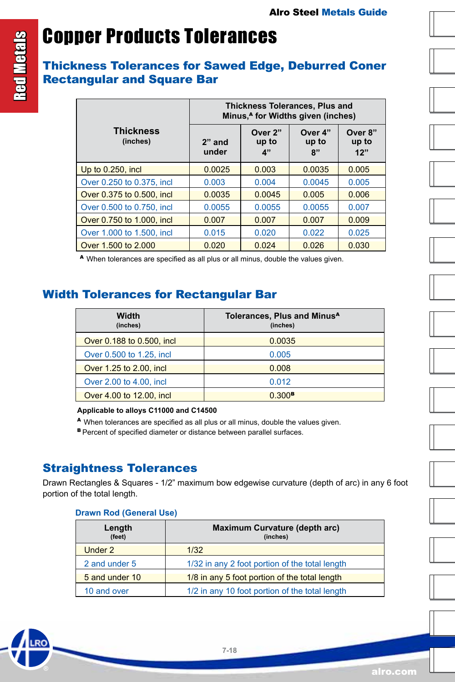## Copper Products Tolerances

#### Thickness Tolerances for Sawed Edge, Deburred Coner Rectangular and Square Bar

|                              | <b>Thickness Tolerances, Plus and</b><br>Minus, <sup>4</sup> for Widths given (inches) |                        |                        |                         |  |
|------------------------------|----------------------------------------------------------------------------------------|------------------------|------------------------|-------------------------|--|
| <b>Thickness</b><br>(inches) | $2"$ and<br>under                                                                      | Over 2"<br>up to<br>4" | Over 4"<br>up to<br>R" | Over 8"<br>up to<br>12" |  |
| Up to 0.250, incl.           | 0.0025                                                                                 | 0.003                  | 0.0035                 | 0.005                   |  |
| Over 0.250 to 0.375, incl.   | 0.003                                                                                  | 0.004                  | 0.0045                 | 0.005                   |  |
| Over 0.375 to 0.500, incl.   | 0.0035                                                                                 | 0.0045                 | 0.005                  | 0.006                   |  |
| Over 0.500 to 0.750, incl.   | 0.0055                                                                                 | 0.0055                 | 0.0055                 | 0.007                   |  |
| Over 0.750 to 1.000, incl.   | 0.007                                                                                  | 0.007                  | 0.007                  | 0.009                   |  |
| Over 1,000 to 1,500, incl.   | 0.015                                                                                  | 0.020                  | 0.022                  | 0.025                   |  |
| Over 1,500 to 2,000          | 0.020                                                                                  | 0.024                  | 0.026                  | 0.030                   |  |

<sup>A</sup>When tolerances are specified as all plus or all minus, double the values given.

#### Width Tolerances for Rectangular Bar

| Width<br>(inches)          | Tolerances, Plus and Minus <sup>A</sup><br>(inches) |
|----------------------------|-----------------------------------------------------|
| Over 0.188 to 0.500, incl. | 0.0035                                              |
| Over 0.500 to 1.25, incl.  | 0.005                                               |
| Over 1.25 to 2.00, incl.   | 0.008                                               |
| Over 2.00 to 4.00, incl.   | 0.012                                               |
| Over 4.00 to 12.00, incl.  | $0.300$ <sup>B</sup>                                |

#### **Applicable to alloys C11000 and C14500**

<sup>A</sup>When tolerances are specified as all plus or all minus, double the values given.

**B** Percent of specified diameter or distance between parallel surfaces.

#### Straightness Tolerances

Drawn Rectangles & Squares - 1/2" maximum bow edgewise curvature (depth of arc) in any 6 foot portion of the total length.

#### **Drawn Rod (General Use)**

| Length<br>(feet) | Maximum Curvature (depth arc)<br>(inches)      |  |  |
|------------------|------------------------------------------------|--|--|
| Under 2          | 1/32                                           |  |  |
| 2 and under 5    | 1/32 in any 2 foot portion of the total length |  |  |
| 5 and under 10   | 1/8 in any 5 foot portion of the total length  |  |  |
| 10 and over      | 1/2 in any 10 foot portion of the total length |  |  |



















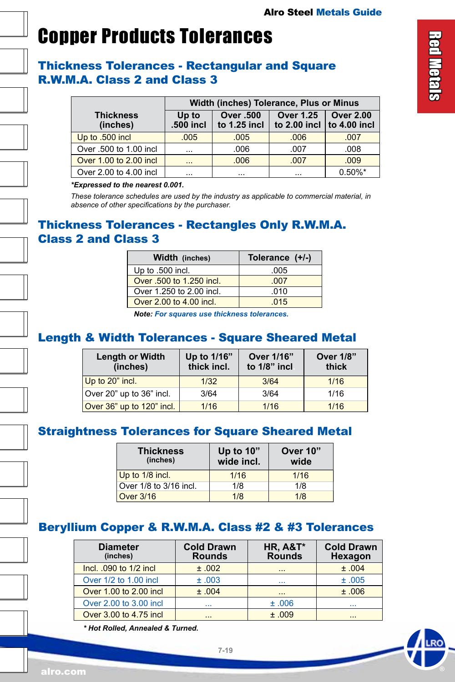### Copper Products Tolerances

#### Thickness Tolerances - Rectangular and Square R.W.M.A. Class 2 and Class 3

|                              | Width (inches) Tolerance, Plus or Minus |                                    |                                    |                                      |  |  |  |
|------------------------------|-----------------------------------------|------------------------------------|------------------------------------|--------------------------------------|--|--|--|
| <b>Thickness</b><br>(inches) | Up to<br>.500 incl                      | <b>Over .500</b><br>to $1.25$ incl | <b>Over 1.25</b><br>to $2.00$ incl | <b>Over 2.00</b><br>$ $ to 4.00 incl |  |  |  |
| Up to .500 incl              | .005                                    | .005                               | .006                               | .007                                 |  |  |  |
| Over .500 to 1.00 incl       | $\cdots$                                | .006                               | .007                               | .008                                 |  |  |  |
| Over 1.00 to 2.00 incl       | $\cdots$                                | .006                               | .007                               | .009                                 |  |  |  |
| Over 2.00 to 4.00 incl       | $\cdots$                                | $\cdots$                           | $\cdots$                           | $0.50\%$ *                           |  |  |  |

#### *\*Expressed to the nearest 0.001.*

*These tolerance schedules are used by the industry as applicable to commercial material, in absence of other specifications by the purchaser.*

#### Thickness Tolerances - Rectangles Only R.W.M.A. Class 2 and Class 3

| Width (inches)           | Tolerance (+/-) |
|--------------------------|-----------------|
| Up to .500 incl.         | .005            |
| Over .500 to 1.250 incl. | .007            |
| Over 1.250 to 2.00 incl. | .010            |
| Over 2,00 to 4,00 incl.  | 015             |

*Note: For squares use thickness tolerances.*

#### Length & Width Tolerances - Square Sheared Metal

| <b>Length or Width</b><br>(inches) | Up to 1/16"<br>thick incl. | Over 1/16"<br>to $1/8$ " incl | <b>Over 1/8"</b><br>thick |
|------------------------------------|----------------------------|-------------------------------|---------------------------|
| Up to 20" incl.                    | 1/32                       | 3/64                          | 1/16                      |
| Over 20" up to 36" incl.           | 3/64                       | 3/64                          | 1/16                      |
| Over 36" up to 120" incl.          | 1/16                       | 1/16                          | 1/16                      |

#### Straightness Tolerances for Square Sheared Metal

| <b>Thickness</b><br>(inches) | Up to 10"<br>wide incl. | Over 10"<br>wide |
|------------------------------|-------------------------|------------------|
| Up to 1/8 incl.              | 1/16                    | 1/16             |
| Over 1/8 to 3/16 incl.       | 1/8                     | 1/8              |
| Over $3/16$                  | 1/8                     | 1/8              |

#### Beryllium Copper & R.W.M.A. Class #2 & #3 Tolerances

| <b>Diameter</b><br>(inches) | <b>Cold Drawn</b><br><b>Rounds</b> | <b>HR, A&amp;T*</b><br><b>Rounds</b> | <b>Cold Drawn</b><br>Hexagon |
|-----------------------------|------------------------------------|--------------------------------------|------------------------------|
| Incl. .090 to 1/2 incl.     | ±.002                              | $\cdots$                             | ±.004                        |
| Over 1/2 to 1.00 incl       | ±.003                              | $\cdots$                             | ±.005                        |
| Over 1.00 to 2.00 incl      | ±.004                              | $\cdots$                             | ±.006                        |
| Over 2.00 to 3.00 incl.     | $\cdots$                           | ±.006                                |                              |
| Over 3.00 to 4.75 incl      | $\cdots$                           | ±.009                                | .                            |

*\* Hot Rolled, Annealed & Turned.*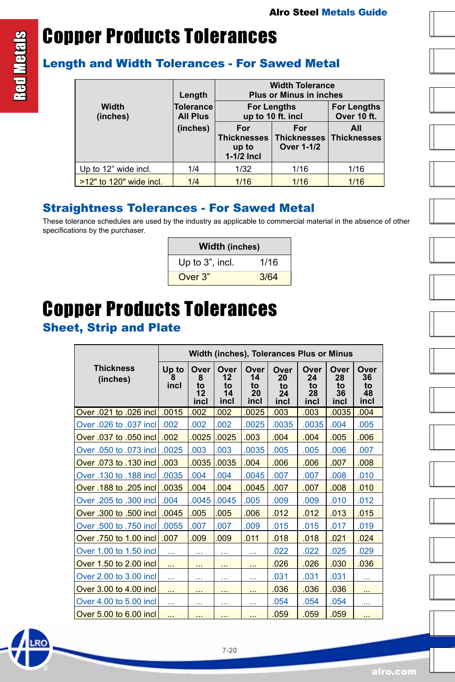# Copper Products Tolerances

#### Length and Width Tolerances - For Sawed Metal

|                         | Length                       | <b>Width Tolerance</b><br><b>Plus or Minus in inches</b> |                                                |                                   |  |  |
|-------------------------|------------------------------|----------------------------------------------------------|------------------------------------------------|-----------------------------------|--|--|
| Width<br>(inches)       | Tolerance<br><b>All Plus</b> |                                                          | <b>For Lengths</b><br>up to 10 ft. incl        | <b>For Lengths</b><br>Over 10 ft. |  |  |
|                         | (inches)                     | For<br><b>Thicknesses</b><br>up to<br>$1-1/2$ Incl       | For<br><b>Thicknesses</b><br><b>Over 1-1/2</b> | All<br><b>Thicknesses</b>         |  |  |
| Up to 12" wide incl.    | 1/4                          | 1/32                                                     | 1/16                                           | 1/16                              |  |  |
| >12" to 120" wide incl. | 1/4                          | 1/16                                                     | 1/16                                           | 1/16                              |  |  |

#### Straightness Tolerances - For Sawed Metal

These tolerance schedules are used by the industry as applicable to commercial material in the absence of other specifications by the purchaser.

| <b>Width (inches)</b> |      |  |  |  |
|-----------------------|------|--|--|--|
| Up to 3", incl.       | 1/16 |  |  |  |
| Over 3"               | 3/64 |  |  |  |

### Copper Products Tolerances

#### Sheet, Strip and Plate

|                              | Width (inches), Tolerances Plus or Minus |                               |                                |                                |                                |                                |                                |                                |
|------------------------------|------------------------------------------|-------------------------------|--------------------------------|--------------------------------|--------------------------------|--------------------------------|--------------------------------|--------------------------------|
| <b>Thickness</b><br>(inches) | Up to<br>8<br>incl                       | Over<br>8<br>to<br>12<br>incl | Over<br>12<br>to<br>14<br>incl | Over<br>14<br>to<br>20<br>incl | Over<br>20<br>to<br>24<br>incl | Over<br>24<br>to<br>28<br>incl | Over<br>28<br>to<br>36<br>incl | Over<br>36<br>to<br>48<br>incl |
| Over .021 to .026 incl       | .0015                                    | .002                          | .002                           | .0025                          | .003                           | .003                           | .0035                          | .004                           |
| Over .026 to .037 incl       | .002                                     | .002                          | .002                           | .0025                          | .0035                          | .0035                          | .004                           | .005                           |
| Over .037 to .050 incl       | .002                                     | .0025                         | .0025                          | .003                           | .004                           | .004                           | .005                           | .006                           |
| Over .050 to .073 incl       | .0025                                    | .003                          | .003                           | .0035                          | .005                           | .005                           | .006                           | .007                           |
| Over .073 to .130 incl       | .003                                     | .0035                         | .0035                          | .004                           | .006                           | .006                           | .007                           | .008                           |
| Over .130 to .188 incl       | .0035                                    | .004                          | .004                           | .0045                          | .007                           | .007                           | .008                           | .010                           |
| Over .188 to .205 incl       | .0035                                    | .004                          | .004                           | .0045                          | .007                           | .007                           | .008                           | .010                           |
| Over .205 to .300 incl       | .004                                     | .0045                         | .0045                          | .005                           | .009                           | .009                           | .010                           | .012                           |
| Over .300 to .500 incl       | .0045                                    | .005                          | .005                           | .006                           | .012                           | .012                           | .013                           | .015                           |
| Over .500 to .750 incl       | .0055                                    | .007                          | .007                           | .009                           | .015                           | .015                           | .017                           | .019                           |
| Over .750 to 1.00 incl       | .007                                     | .009                          | .009                           | .011                           | .018                           | .018                           | .021                           | .024                           |
| Over 1.00 to 1.50 incl       | $\ddotsc$                                |                               | $\sim$                         | $\cdots$                       | .022                           | .022                           | .025                           | .029                           |
| Over 1.50 to 2.00 incl       | $\ddotsc$                                | $\cdots$                      | $\cdots$                       | $\cdots$                       | .026                           | .026                           | .030                           | .036                           |
| Over 2,00 to 3,00 incl.      |                                          |                               |                                |                                | .031                           | .031                           | .031                           |                                |
| Over 3.00 to 4.00 incl       | $\ddotsc$                                | $\cdots$                      | $\cdots$                       | $\cdots$                       | .036                           | .036                           | .036                           | $\sim$ $\sim$ $\sim$           |
| Over 4,00 to 5,00 incl.      |                                          |                               |                                |                                | .054                           | .054                           | .054                           |                                |
| Over 5.00 to 6.00 incl.      |                                          | $\cdots$                      |                                | $\cdots$                       | .059                           | .059                           | .059                           | $\cdots$                       |

**Red Metals** Red Metals













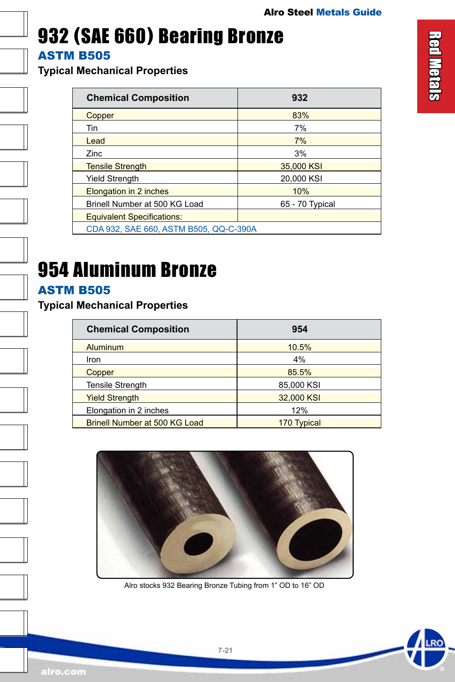### <span id="page-20-0"></span>932 (SAE 660) Bearing Bronze

ASTM B505

**Typical Mechanical Properties**

| <b>Chemical Composition</b>            | 932             |  |  |
|----------------------------------------|-----------------|--|--|
| Copper                                 | 83%             |  |  |
| Tin                                    | 7%              |  |  |
| Lead                                   | 7%              |  |  |
| <b>Zinc</b>                            | 3%              |  |  |
| <b>Tensile Strength</b>                | 35,000 KSI      |  |  |
| <b>Yield Strenath</b>                  | 20.000 KSI      |  |  |
| Elongation in 2 inches                 | 10%             |  |  |
| Brinell Number at 500 KG Load          | 65 - 70 Typical |  |  |
| <b>Equivalent Specifications:</b>      |                 |  |  |
| CDA 932, SAE 660, ASTM B505, QQ-C-390A |                 |  |  |

# 954 Aluminum Bronze

#### ASTM B505

#### **Typical Mechanical Properties**

| <b>Chemical Composition</b>   | 954                |
|-------------------------------|--------------------|
| <b>Aluminum</b>               | 10.5%              |
| Iron                          | 4%                 |
| Copper                        | 85.5%              |
| <b>Tensile Strength</b>       | 85,000 KSI         |
| <b>Yield Strength</b>         | 32,000 KSI         |
| Elongation in 2 inches        | 12%                |
| Brinell Number at 500 KG Load | <b>170 Typical</b> |



Alro stocks 932 Bearing Bronze Tubing from 1" OD to 16" OD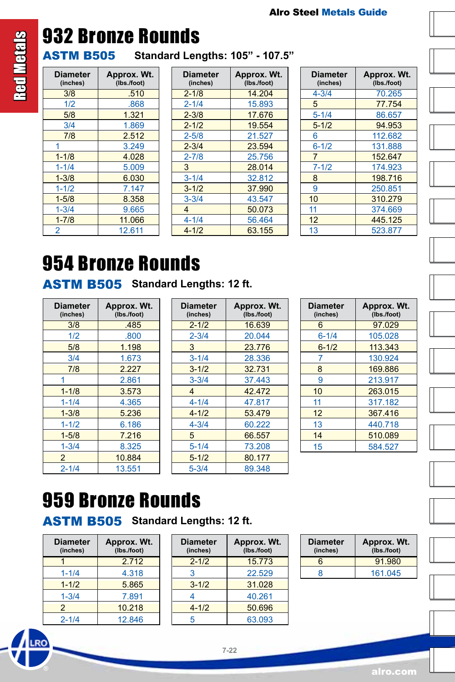

# <span id="page-21-0"></span>**Red Metals** Red Metals

# 932 Bronze Rounds

ASTM B505 **Standard Lengths: 105" - 107.5"**

| Diameter<br>(inches) | Approx. Wt.<br>(Ibs./foot) |  |
|----------------------|----------------------------|--|
| 3/8                  | .510                       |  |
| 1/2                  | .868                       |  |
| 5/8                  | 1.321                      |  |
| 3/4                  | 1.869                      |  |
| 7/8                  | 2.512                      |  |
|                      | 3.249                      |  |
| $1 - 1/8$            | 4.028                      |  |
| $1 - 1/4$            | 5.009                      |  |
| $1 - 3/8$            | 6.030                      |  |
| $1 - 1/2$            | 7.147                      |  |
| $1 - 5/8$            | 8.358                      |  |
| $1 - 3/4$            | 9.665                      |  |
| $1 - 7/8$            | 11.066                     |  |
| 2                    | 12.611                     |  |

| <b>Diameter</b><br>(inches) | Approx. Wt.<br>(Ibs./foot) |
|-----------------------------|----------------------------|
| $2 - 1/8$                   | 14.204                     |
| $2 - 1/4$                   | 15.893                     |
| $2 - 3/8$                   | 17.676                     |
| $2 - 1/2$                   | 19.554                     |
| $2 - 5/8$                   | 21.527                     |
| $2 - 3/4$                   | 23.594                     |
| $2 - 7/8$                   | 25.756                     |
| 3                           | 28.014                     |
| $3 - 1/4$                   | 32.812                     |
| $3 - 1/2$                   | 37.990                     |
| $3 - 3/4$                   | 43.547                     |
| 4                           | 50.073                     |
| $4 - 1/4$                   | 56.464                     |
| $4 - 1/2$                   | 63.155                     |

| <b>Diameter</b><br>(inches) | Approx. Wt.<br>(Ibs./foot) |
|-----------------------------|----------------------------|
| $4 - 3/4$                   | 70.265                     |
| 5                           | 77.754                     |
| $5 - 1/4$                   | 86.657                     |
| $5 - 1/2$                   | 94.953                     |
| 6                           | 112.682                    |
| $6 - 1/2$                   | 131.888                    |
| $\overline{7}$              | 152.647                    |
| $7 - 1/2$                   | 174.923                    |
| 8                           | 198.716                    |
| 9                           | 250.851                    |
| 10                          | 310.279                    |
| 11                          | 374.669                    |
| 12                          | 445.125                    |
| 13                          | 523.877                    |

# 954 Bronze Rounds

ASTM B505 **Standard Lengths: 12 ft.**

| <b>Diameter</b><br>(inches) | Approx. Wt.<br>(Ibs./foot) |
|-----------------------------|----------------------------|
| 3/8                         | .485                       |
| 1/2                         | .800                       |
| 5/8                         | 1.198                      |
| 3/4                         | 1.673                      |
| 7/8                         | 2.227                      |
|                             | 2.861                      |
| $1 - 1/8$                   | 3.573                      |
| $1 - 1/4$                   | 4.365                      |
| $1 - 3/8$                   | 5.236                      |
| $1 - 1/2$                   | 6.186                      |
| $1 - 5/8$                   | 7.216                      |
| $1 - 3/4$                   | 8.325                      |
| $\overline{2}$              | 10.884                     |
| $2 - 1/4$                   | 13.551                     |

| Diameter<br>(inches) | Approx. Wt.<br>(lbs./foot) |
|----------------------|----------------------------|
| $2 - 1/2$            | 16.639                     |
| $2 - 3/4$            | 20.044                     |
| 3                    | 23.776                     |
| $3 - 1/4$            | 28.336                     |
| $3 - 1/2$            | 32.731                     |
| $3 - 3/4$            | 37.443                     |
| 4                    | 42.472                     |
| 4-1/4                | 47.817                     |
| $4 - 1/2$            | 53.479                     |
| $4 - 3/4$            | 60.222                     |
| 5                    | 66.557                     |
| $5 - 1/4$            | 73.208                     |
| $5 - 1/2$            | 80.177                     |
| 5-3/4                | 89.348                     |

| <b>Diameter</b><br>(inches) | Approx. Wt.<br>(Ibs./foot) |
|-----------------------------|----------------------------|
| 6                           | 97.029                     |
| $6 - 1/4$                   | 105.028                    |
| $6 - 1/2$                   | 113.343                    |
| 7                           | 130.924                    |
| 8                           | 169.886                    |
| 9                           | 213.917                    |
| 10                          | 263.015                    |
| 11                          | 317.182                    |
| 12                          | 367.416                    |
| 13                          | 440.718                    |
| 14                          | 510.089                    |
| 15                          | 584.527                    |

# 959 Bronze Rounds

ASTM B505 **Standard Lengths: 12 ft.**

| <b>Diameter</b><br>(inches) | Approx. Wt.<br>(Ibs./foot) |
|-----------------------------|----------------------------|
|                             | 2.712                      |
| $1 - 1/4$                   | 4.318                      |
| $1 - 1/2$                   | 5.865                      |
| $1 - 3/4$                   | 7.891                      |
| 2                           | 10.218                     |
| $2 - 1/4$                   | 12.846                     |

| <b>Diameter</b><br>(inches) | Approx. Wt.<br>(Ibs./foot) |
|-----------------------------|----------------------------|
| $2 - 1/2$                   | 15.773                     |
| 3                           | 22.529                     |
| $3 - 1/2$                   | 31.028                     |
| 4                           | 40.261                     |
| $4 - 1/2$                   | 50.696                     |
| 5                           | 63.093                     |

| <b>Diameter</b><br>(inches) | Approx. Wt.<br>(lbs./foot) |
|-----------------------------|----------------------------|
| հ                           | 91.980                     |
| R                           | 161.045                    |

**RO**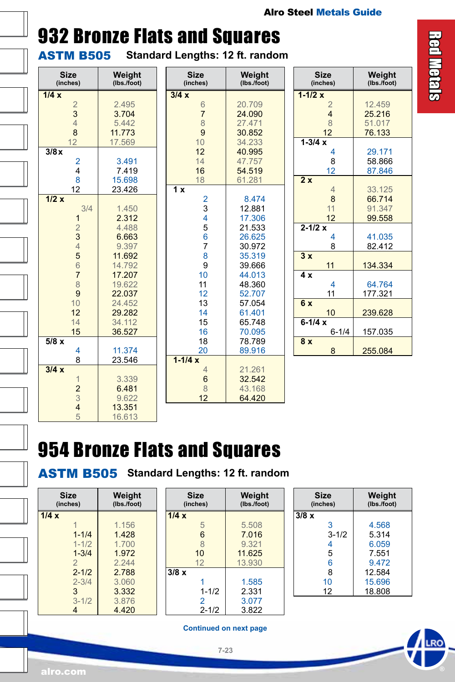### <span id="page-22-0"></span>932 Bronze Flats and Squares

ASTM B505 **Standard Lengths: 12 ft. random**

| <b>Size</b><br>(inches)                           | Weight<br>(lbs./foot) | $\overline{a}$  |
|---------------------------------------------------|-----------------------|-----------------|
| 1/4x                                              |                       | 3/4             |
|                                                   | 2.495                 |                 |
| $\frac{2}{3}$                                     | 3.704                 |                 |
| $\overline{4}$                                    | 5.442                 |                 |
| 8                                                 | 11.773                |                 |
| 12                                                | 17.569                |                 |
| 3/8x                                              |                       |                 |
|                                                   | 3.491                 |                 |
| $\frac{2}{4}$                                     | 7.419                 |                 |
| 8                                                 | 15.698                |                 |
| 12                                                | 23.426                | $\overline{1}x$ |
| 1/2x                                              |                       |                 |
| 3/4                                               | 1.450                 |                 |
| 1                                                 | 2.312                 |                 |
|                                                   | 4.488                 |                 |
|                                                   | 6.663                 |                 |
| $\begin{array}{c}\n2 \\ 3 \\ 4\n\end{array}$      | 9.397                 |                 |
| 5                                                 | 11.692                |                 |
| $\overline{6}$                                    | 14.792                |                 |
| $\overline{7}$                                    | 17.207                |                 |
| 8                                                 | 19.622                |                 |
| 9                                                 | 22.037                |                 |
| 10                                                | 24.452                |                 |
| 12                                                | 29.282                |                 |
| 14                                                | 34.112                |                 |
| 15                                                | 36.527                |                 |
| 5/8x                                              |                       |                 |
| 4                                                 | 11.374                |                 |
| 8                                                 | 23.546                | $1 - 1/$        |
| 3/4x                                              |                       |                 |
|                                                   | 3.339                 |                 |
|                                                   | 6.481                 |                 |
|                                                   | 9.622                 |                 |
| $\begin{array}{c}\n1 \\ 2 \\ 3 \\ 4\n\end{array}$ | 13.351                |                 |
| 5                                                 | 16.613                |                 |
|                                                   |                       |                 |

| Size                                                                | Weight                                                                                 |
|---------------------------------------------------------------------|----------------------------------------------------------------------------------------|
| (inches)                                                            | (Ibs./foot)                                                                            |
| 3/4x<br>6<br>$\overline{7}$<br>8<br>9<br>10<br>12<br>14<br>16<br>18 | 20.709<br>24.090<br>27.471<br>30.852<br>34.233<br>40.995<br>47.757<br>54.519<br>61.281 |
| 1 x                                                                 | 8.474                                                                                  |
| $\begin{array}{c} 2 \\ 3 \\ 4 \end{array}$                          | 12.881                                                                                 |
| 5                                                                   | 17.306                                                                                 |
| 6                                                                   | 21.533                                                                                 |
| $\overline{7}$                                                      | 26.625                                                                                 |
| 8                                                                   | 30.972                                                                                 |
| 9                                                                   | 35.319                                                                                 |
| 10                                                                  | 39.666                                                                                 |
| 11                                                                  | 44.013                                                                                 |
| 12                                                                  | 48.360                                                                                 |
| 13                                                                  | 52.707                                                                                 |
| 14                                                                  | 57.054                                                                                 |
| 15                                                                  | 61.401                                                                                 |
| 16                                                                  | 65.748                                                                                 |
| 18                                                                  | 70.095                                                                                 |
| 20                                                                  | 78.789                                                                                 |
| $1 - 1/4x$                                                          | 89.916                                                                                 |
| 4                                                                   | 21.261                                                                                 |
| 6                                                                   | 32.542                                                                                 |
| 8                                                                   | 43.168                                                                                 |
| 12                                                                  | 64.420                                                                                 |

| <b>Size</b><br>(inches) | Weight<br>(lbs./foot) |
|-------------------------|-----------------------|
| $1 - 1/2x$              |                       |
| $\overline{2}$          | 12.459                |
| $\overline{\mathbf{4}}$ | 25.216                |
| 8                       | 51.017                |
| 12                      | 76.133                |
| $1 - 3/4x$              |                       |
| 4                       | 29.171                |
| 8                       | 58.866                |
| 12                      | 87.846                |
| 2x                      |                       |
| $\overline{4}$          | 33.125                |
| 8                       | 66.714                |
| 11                      | 91.347                |
| 12                      | 99.558                |
| $2 - 1/2x$              |                       |
| 4                       | 41.035                |
| 8                       | 82.412                |
| 3x                      |                       |
| 11                      | 134.334               |
| $\overline{4}x$         |                       |
| 4                       | 64.764                |
| 11                      | 177.321               |
| 6x                      |                       |
| 10                      | 239.628               |
| $6-1/4x$                |                       |
| $6 - 1/4$               | 157.035               |
| 8x                      |                       |
| 8                       | 255.084               |

### 954 Bronze Flats and Squares

ASTM B505 **Standard Lengths: 12 ft. random**

| Size<br>(inches) | Weight<br>(lbs./foot) |  |
|------------------|-----------------------|--|
| 1/4x             |                       |  |
|                  | 1.156                 |  |
| $1 - 1/4$        | 1.428                 |  |
| $1 - 1/2$        | 1.700                 |  |
| $1 - 3/4$        | 1972                  |  |
| $\overline{2}$   | 2 2 4 4               |  |
| $2 - 1/2$        | 2.788                 |  |
| $2 - 3/4$        | 3.060                 |  |
| 3                | 3.332                 |  |
| $3 - 1/2$        | 3.876                 |  |
| 4                | 4.420                 |  |

| Size<br>(inches) | Weight<br>(lbs./foot) |
|------------------|-----------------------|
| 1/4x             |                       |
| 5                | 5.508                 |
| 6                | 7.016                 |
| 8                | 9.321                 |
| 10               | 11.625                |
| 12               | 13.930                |
| $3/8 \times$     |                       |
|                  | 1.585                 |
| $1 - 1/2$        | 2.331                 |
| 2                | 3.077                 |
| $2 - 1/2$        | 3.822                 |

| <b>Size</b><br>(inches) | Weight<br>(lbs./foot) |
|-------------------------|-----------------------|
| 3/8x                    |                       |
| 3                       | 4.568                 |
| $3 - 1/2$               | 5.314                 |
| 4                       | 6.059                 |
| 5                       | 7.551                 |
| 6                       | 9.472                 |
| 8                       | 12.584                |
| 10                      | 15.696                |
| 12                      | 18.808                |

**Continued on next page**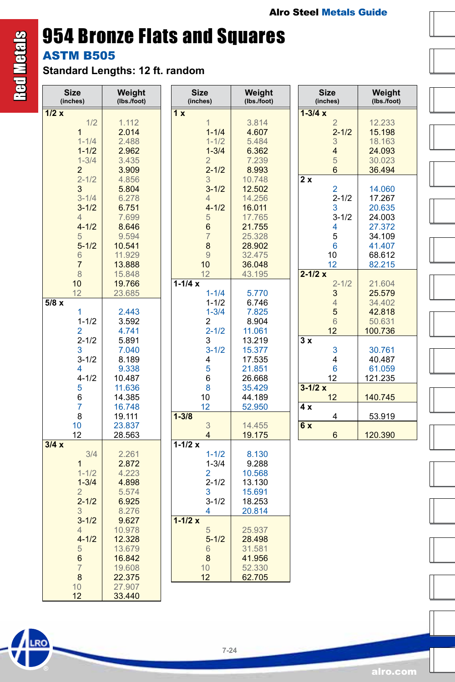# 954 Bronze Flats and Squares

**ASTM B505** 

Red Metals

**Red Metals** 

**Standard Lengths: 12 ft. random**

| (inches) | <b>Size</b>    | Weight<br>(Ibs./foot) | <b>Size</b><br>(inches) | Weight<br>(lbs./foot) | <b>Size</b><br>(inches) | Weight<br>(lbs./foot) |  |
|----------|----------------|-----------------------|-------------------------|-----------------------|-------------------------|-----------------------|--|
| 1/2x     |                |                       | 1x                      |                       | $1 - 3/4x$              |                       |  |
|          | 1/2            | 1.112                 | 1                       | 3.814                 | $\overline{2}$          | 12.233                |  |
|          | $\overline{1}$ | 2.014                 | $1 - 1/4$               | 4.607                 | $2 - 1/2$               | 15.198                |  |
|          | $1 - 1/4$      | 2.488                 | $1 - 1/2$               | 5.484                 | 3                       | 18.163                |  |
|          | $1 - 1/2$      | 2.962                 | $1 - 3/4$               | 6.362                 | 4                       | 24.093                |  |
|          | $1 - 3/4$      | 3.435                 | $\overline{2}$          | 7.239                 | 5                       | 30.023                |  |
|          | $\overline{2}$ | 3.909                 | $2 - 1/2$               | 8.993                 | 6                       | 36.494                |  |
|          | $2 - 1/2$      | 4.856                 | 3                       | 10.748                | 2x                      |                       |  |
|          | 3              | 5.804                 | $3 - 1/2$               | 12.502                | 2                       | 14.060                |  |
|          | $3 - 1/4$      | 6.278                 | $\overline{4}$          | 14.256                | $2 - 1/2$               | 17.267                |  |
|          | $3 - 1/2$      | 6.751                 | $4 - 1/2$               |                       | 3                       | 20.635                |  |
|          |                |                       |                         | 16.011                |                         |                       |  |
|          | 4              | 7.699                 | 5                       | 17.765                | $3 - 1/2$               | 24.003                |  |
|          | $4 - 1/2$      | 8.646                 | 6                       | 21.755                | 4                       | 27.372                |  |
|          | 5              | 9.594                 | $\overline{7}$          | 25.328                | 5                       | 34.109                |  |
|          | $5 - 1/2$      | 10.541                | 8                       | 28.902                | 6                       | 41.407                |  |
|          | 6              | 11.929                | $\overline{9}$          | 32.475                | 10                      | 68.612                |  |
|          | $\overline{7}$ | 13.888                | 10                      | 36.048                | 12                      | 82.215                |  |
|          | 8              | 15.848                | 12                      | 43.195                | $2 - 1/2x$              |                       |  |
|          | 10             | 19.766                | $1 - 1/4x$              |                       | $2 - 1/2$               | 21.604                |  |
|          | 12             | 23.685                | $1 - 1/4$               | 5.770                 | 3                       | 25.579                |  |
| 5/8x     |                |                       | $1 - 1/2$               | 6.746                 | 4                       | 34.402                |  |
|          | 1              | 2.443                 | $1 - 3/4$               | 7.825                 | 5                       | 42.818                |  |
|          | $1 - 1/2$      | 3.592                 | 2                       | 8.904                 | $6\phantom{.}6$         | 50.631                |  |
|          | 2              | 4.741                 | $2 - 1/2$               | 11.061                | 12                      | 100.736               |  |
|          | $2 - 1/2$      | 5.891                 | 3                       | 13.219                | 3x                      |                       |  |
|          | 3              | 7.040                 | $3 - 1/2$               | 15.377                | 3                       | 30.761                |  |
|          | $3 - 1/2$      | 8.189                 | 4                       | 17.535                | 4                       | 40.487                |  |
|          | 4              | 9.338                 | 5                       | 21.851                | 6                       | 61.059                |  |
|          | $4 - 1/2$      | 10.487                | 6                       | 26.668                | 12                      | 121.235               |  |
|          | 5              | 11.636                | 8                       | 35.429                | $3 - 1/2x$              |                       |  |
|          | 6              | 14.385                | 10                      | 44.189                | 12                      | 140.745               |  |
|          | 7              | 16.748                | 12                      |                       | 4 x                     |                       |  |
|          | 8              | 19.111                | $1 - 3/8$               | 52.950                | 4                       |                       |  |
|          |                |                       | 3                       |                       |                         | 53.919                |  |
|          | 10             | 23.837                | $\overline{4}$          | 14.455                | 6x                      |                       |  |
| 3/4x     | 12             | 28.563                |                         | 19.175                | 6                       | 120.390               |  |
|          |                |                       | $1 - 1/2x$              |                       |                         |                       |  |
|          | 3/4            | 2.261                 | $1 - 1/2$               | 8.130                 |                         |                       |  |
|          | $\mathbf{1}$   | 2.872                 | $1 - 3/4$               | 9.288                 |                         |                       |  |
|          | $1 - 1/2$      | 4.223                 | 2                       | 10.568                |                         |                       |  |
|          | $1 - 3/4$      | 4.898                 | $2 - 1/2$               | 13.130                |                         |                       |  |
|          | 2              | 5.574                 | 3                       | 15.691                |                         |                       |  |
|          | $2 - 1/2$      | 6.925                 | $3 - 1/2$               | 18.253                |                         |                       |  |
|          | 3              | 8.276                 | 4                       | 20.814                |                         |                       |  |
|          | $3 - 1/2$      | 9.627                 | $1 - 1/2x$              |                       |                         |                       |  |
|          | 4              | 10.978                | 5                       | 25.937                |                         |                       |  |
|          | $4 - 1/2$      | 12.328                | $5 - 1/2$               | 28.498                |                         |                       |  |
|          | 5              | 13.679                | 6                       | 31.581                |                         |                       |  |
|          | $6\phantom{1}$ | 16.842                | 8                       | 41.956                |                         |                       |  |
|          | $\overline{7}$ | 19.608                | 10                      | 52.330                |                         |                       |  |
|          | 8              | 22.375                | 12                      | 62.705                |                         |                       |  |
|          | 10             | 27.907                |                         |                       |                         |                       |  |
|          | 12             | 33.440                |                         |                       |                         |                       |  |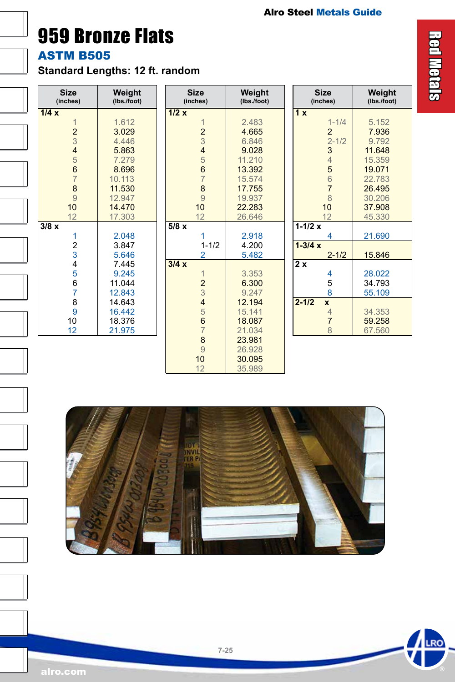<span id="page-24-0"></span>959 Bronze Flats

ASTM B505

 $\overline{a}$ 

 $\overline{a}$ 

Ξ

Ī

**Standard Lengths: 12 ft. random**

| <b>Size</b><br>(inches) | Weight<br>(Ibs./foot) | <b>Size</b><br>(inches)                    | Weight<br>(lbs./foot) | <b>Size</b><br>(inches)   | Weight<br>(lbs./foot) |
|-------------------------|-----------------------|--------------------------------------------|-----------------------|---------------------------|-----------------------|
| 1/4x                    |                       | 1/2x                                       |                       | $\overline{1}x$           |                       |
| $\overline{1}$          | 1.612                 | $\overline{1}$                             | 2.483                 | $1 - 1/4$                 | 5.152                 |
| $\overline{2}$          | 3.029                 |                                            | 4.665                 | $\overline{2}$            | 7.936                 |
| 3                       | 4.446                 | $\frac{2}{3}$                              | 6.846                 | $2 - 1/2$                 | 9.792                 |
| $\overline{\mathbf{4}}$ | 5.863                 | 4567                                       | 9.028                 | 3                         | 11.648                |
| $\frac{5}{6}$           | 7.279                 |                                            | 11.210                | 4                         | 15.359                |
|                         | 8.696                 |                                            | 13.392                | 5                         | 19.071                |
| $\overline{7}$          | 10.113                |                                            | 15.574                | 6                         | 22.783                |
| 8                       | 11.530                | $\frac{8}{9}$                              | 17.755                | $\overline{7}$            | 26.495                |
| 9                       | 12.947                |                                            | 19.937                | 8                         | 30.206                |
| 10                      | 14.470                | 10                                         | 22.283                | 10                        | 37.908                |
| 12                      | 17.303                | 12                                         | 26.646                | 12                        | 45.330                |
| 3/8x                    |                       | 5/8x                                       |                       | $1 - 1/2x$                |                       |
| 1                       | 2.048                 | 1                                          | 2.918                 | 4                         | 21.690                |
| $\frac{2}{3}$           | 3.847                 | $1 - 1/2$                                  | 4.200                 | $1 - 3/4x$                |                       |
|                         | 5.646                 | $\overline{2}$                             | 5.482                 | $2 - 1/2$                 | 15.846                |
| 4                       | 7.445                 | 3/4x                                       |                       | $\overline{2x}$           |                       |
| 5                       | 9.245                 | $\mathbf{1}$                               | 3.353                 | 4                         | 28.022                |
| 6                       | 11.044                |                                            | 6.300                 | 5                         | 34.793                |
| 7                       | 12.843                | $\begin{array}{c} 2 \\ 3 \\ 4 \end{array}$ | 9.247                 | 8                         | 55.109                |
| 8                       | 14.643                |                                            | 12.194                | $2 - 1/2$<br>$\mathbf{x}$ |                       |
| 9                       | 16.442                |                                            | 15.141                | $\overline{4}$            | 34.353                |
| 10                      | 18.376                | $\begin{array}{c} 5 \\ 6 \\ 7 \end{array}$ | 18.087                | $\overline{7}$            | 59.258                |
| 12                      | 21.975                |                                            | 21.034                | 8                         | 67.560                |
|                         |                       | $\begin{array}{c} 8 \\ 9 \end{array}$      | 23.981                |                           |                       |
|                         |                       |                                            | 26.928                |                           |                       |
|                         |                       | 10                                         | 30.095                |                           |                       |
|                         |                       | 12                                         | 35.989                |                           |                       |



12 35.989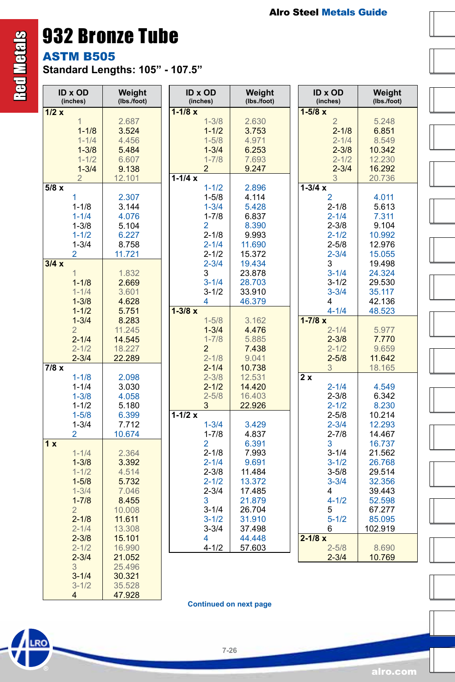### 932 Bronze Tube

ASTM B505

Red Metals

**RO** 

<span id="page-25-0"></span>**Red Metals** 

**Standard Lengths: 105" - 107.5"**

|      | <b>ID x OD</b><br>(inches) | Weight<br>(lbs./foot) | ID x OD<br>(inches) | Weight<br>(lbs./foot) | <b>ID x OD</b><br>(inches) | Weight<br>(Ibs./foot) |
|------|----------------------------|-----------------------|---------------------|-----------------------|----------------------------|-----------------------|
| 1/2x |                            |                       | $1 - 1/8 x$         |                       | $1 - 5/8 x$                |                       |
|      | $\mathbf{1}$               | 2.687                 | $1 - 3/8$           | 2.630                 | 5.248<br>$\overline{2}$    |                       |
|      | $1 - 1/8$                  | 3.524                 | $1 - 1/2$           | 3.753                 | $2 - 1/8$<br>6.851         |                       |
|      | $1 - 1/4$                  | 4.456                 | $1 - 5/8$           | 4.971                 | $2 - 1/4$<br>8.549         |                       |
|      | $1 - 3/8$                  | 5.484                 | $1 - 3/4$           | 6.253                 | $2 - 3/8$<br>10.342        |                       |
|      | $1 - 1/2$                  | 6.607                 | $1 - 7/8$           | 7.693                 | $2 - 1/2$<br>12.230        |                       |
|      | $1 - 3/4$                  | 9.138                 | $\overline{2}$      | 9.247                 | $2 - 3/4$<br>16.292        |                       |
|      | $\overline{2}$             | 12.101                | $1 - 1/4x$          |                       | 20.736<br>3                |                       |
| 5/8x |                            |                       | $1 - 1/2$           | 2.896                 | $1 - 3/4x$                 |                       |
|      | 1                          | 2.307                 | $1 - 5/8$           | 4.114                 | $\overline{2}$<br>4.011    |                       |
|      | $1 - 1/8$                  | 3.144                 | $1 - 3/4$           | 5.428                 | $2 - 1/8$<br>5.613         |                       |
|      | $1 - 1/4$                  | 4.076                 | $1 - 7/8$           | 6.837                 | 7.311<br>$2 - 1/4$         |                       |
|      | $1 - 3/8$                  | 5.104                 | 2                   | 8.390                 | $2 - 3/8$<br>9.104         |                       |
|      |                            |                       |                     |                       |                            |                       |
|      | $1 - 1/2$                  | 6.227                 | $2 - 1/8$           | 9.993                 | $2 - 1/2$<br>10.992        |                       |
|      | $1 - 3/4$                  | 8.758                 | $2 - 1/4$           | 11.690                | $2 - 5/8$<br>12.976        |                       |
|      | 2                          | 11.721                | $2 - 1/2$           | 15.372                | $2 - 3/4$<br>15.055        |                       |
| 3/4x |                            |                       | $2 - 3/4$           | 19.434                | 3<br>19.498                |                       |
|      | $\overline{1}$             | 1.832                 | 3                   | 23.878                | $3 - 1/4$<br>24.324        |                       |
|      | $1 - 1/8$                  | 2.669                 | $3 - 1/4$           | 28.703                | $3 - 1/2$<br>29.530        |                       |
|      | $1 - 1/4$                  | 3.601                 | $3 - 1/2$           | 33.910                | $3 - 3/4$<br>35.117        |                       |
|      | $1 - 3/8$                  | 4.628                 | 4                   | 46.379                | 42.136<br>4                |                       |
|      | $1 - 1/2$                  | 5.751                 | $1 - 3/8 x$         |                       | $4 - 1/4$<br>48.523        |                       |
|      | $1 - 3/4$                  | 8.283                 | $1 - 5/8$           | 3.162                 | $1 - 7/8x$                 |                       |
|      | $\overline{2}$             | 11.245                | $1 - 3/4$           | 4.476                 | $2 - 1/4$<br>5.977         |                       |
|      | $2 - 1/4$                  | 14.545                | $1 - 7/8$           | 5.885                 | $2 - 3/8$<br>7.770         |                       |
|      | $2 - 1/2$                  | 18.227                | $\overline{2}$      | 7.438                 | $2 - 1/2$<br>9.659         |                       |
|      | $2 - 3/4$                  | 22.289                | $2 - 1/8$           | 9.041                 | $2 - 5/8$<br>11.642        |                       |
| 7/8x |                            |                       | $2 - 1/4$           | 10.738                | 3<br>18.165                |                       |
|      | $1 - 1/8$                  | 2.098                 | $2 - 3/8$           | 12.531                | 2x                         |                       |
|      | $1 - 1/4$                  | 3.030                 | $2 - 1/2$           | 14.420                | $2 - 1/4$<br>4.549         |                       |
|      | $1 - 3/8$                  | 4.058                 | $2 - 5/8$           | 16.403                | $2 - 3/8$<br>6.342         |                       |
|      | $1 - 1/2$                  | 5.180                 | 3                   | 22.926                | $2 - 1/2$<br>8.230         |                       |
|      | $1 - 5/8$                  | 6.399                 | $1 - 1/2x$          |                       | $2 - 5/8$<br>10.214        |                       |
|      | $1 - 3/4$                  | 7.712                 | $1 - 3/4$           | 3.429                 | $2 - 3/4$<br>12.293        |                       |
|      | 2                          | 10.674                | $1 - 7/8$           | 4.837                 | $2 - 7/8$<br>14.467        |                       |
|      |                            |                       |                     |                       |                            |                       |
| 1x   |                            |                       | 2                   | 6.391                 | 3<br>16.737                |                       |
|      | $1 - 1/4$                  | 2.364                 | $2 - 1/8$           | 7.993                 | $3 - 1/4$<br>21.562        |                       |
|      | $1 - 3/8$                  | 3.392                 | $2 - 1/4$           | 9.691                 | $3 - 1/2$<br>26.768        |                       |
|      | $1 - 1/2$                  | 4.514                 | $2 - 3/8$           | 11.484                | $3 - 5/8$<br>29.514        |                       |
|      | $1 - 5/8$                  | 5.732                 | $2 - 1/2$           | 13.372                | $3 - 3/4$<br>32.356        |                       |
|      | $1 - 3/4$                  | 7.046                 | $2 - 3/4$           | 17.485                | 39.443<br>4                |                       |
|      | $1 - 7/8$                  | 8.455                 | 3                   | 21.879                | $4 - 1/2$<br>52.598        |                       |
|      | $\overline{2}$             | 10.008                | $3 - 1/4$           | 26.704                | 67.277<br>5                |                       |
|      | $2 - 1/8$                  | 11.611                | $3 - 1/2$           | 31.910                | $5 - 1/2$<br>85.095        |                       |
|      | $2 - 1/4$                  | 13.308                | $3 - 3/4$           | 37.498                | 6<br>102.919               |                       |
|      | $2 - 3/8$                  | 15.101                | 4                   | 44.448                | $2 - 1/8x$                 |                       |
|      | $2 - 1/2$                  | 16.990                | $4 - 1/2$           | 57.603                | $2 - 5/8$<br>8.690         |                       |
|      | $2 - 3/4$                  | 21.052                |                     |                       | $2 - 3/4$<br>10.769        |                       |
|      | 3                          | 25.496                |                     |                       |                            |                       |
|      | $3 - 1/4$                  | 30.321                |                     |                       |                            |                       |
|      |                            |                       |                     |                       |                            |                       |
|      | $3 - 1/2$                  | 35.528                |                     |                       |                            |                       |

**Continued on next page**

**7-26**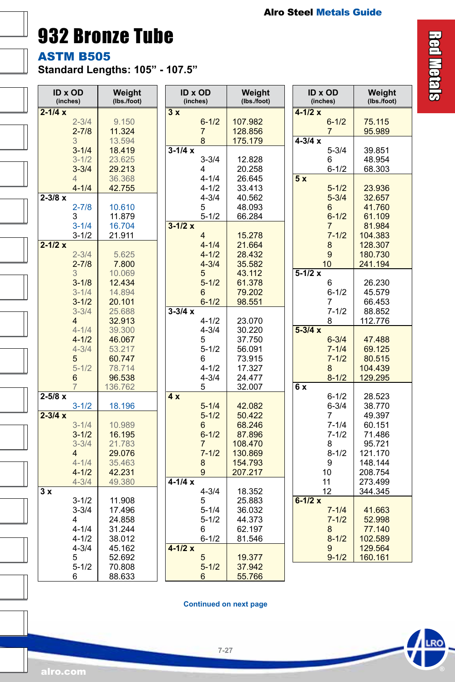932 Bronze Tube

ASTM B505

I

 $\overline{a}$ 

 $\overline{a}$ 

 $\overline{a}$ 

 $\overline{a}$ 

 $\overline{a}$ 

Ξ

**Standard Lengths: 105" - 107.5"**

| <b>ID x OD</b><br>(inches) |           | Weight<br>(lbs./foot) | <b>ID x OD</b><br>(inches) | Weight<br>(lbs./foot) | <b>ID x OD</b><br>(inches) | Weight<br>(lbs./foot) |
|----------------------------|-----------|-----------------------|----------------------------|-----------------------|----------------------------|-----------------------|
| $2 - 1/4x$                 |           |                       | 3x                         |                       | 4-1/2 x                    |                       |
|                            | $2 - 3/4$ | 9.150                 | $6 - 1/2$                  | 107.982               | $6 - 1/2$                  | 75.115                |
|                            | $2 - 7/8$ | 11.324                | $\overline{7}$             | 128.856               | $\overline{7}$             | 95.989                |
| 3                          |           | 13.594                | 8                          | 175.179               | $4 - 3/4 x$                |                       |
|                            | $3 - 1/4$ | 18.419                | $3 - 1/4x$                 |                       | $5 - 3/4$                  | 39.851                |
|                            | $3 - 1/2$ | 23.625                | $3 - 3/4$                  | 12.828                | 6                          | 48.954                |
|                            | $3 - 3/4$ | 29.213                | 4                          | 20.258                | $6 - 1/2$                  | 68.303                |
| 4                          |           | 36.368                | $4 - 1/4$                  | 26.645                | 5x                         |                       |
|                            | $4 - 1/4$ | 42.755                | $4 - 1/2$                  | 33.413                | $5 - 1/2$                  | 23.936                |
| $2 - 3/8 x$                |           |                       | $4 - 3/4$                  | 40.562                | $5 - 3/4$                  | 32.657                |
|                            | $2 - 7/8$ | 10.610                | 5                          | 48.093                | 6                          | 41.760                |
| 3                          |           | 11.879                | $5 - 1/2$                  | 66.284                | $6 - 1/2$                  | 61.109                |
|                            | $3 - 1/4$ | 16.704                | $3 - 1/2x$                 |                       | 7                          | 81.984                |
|                            | $3 - 1/2$ | 21.911                | 4                          | 15.278                | $7 - 1/2$                  | 104.383               |
| $2 - 1/2x$                 |           |                       | $4 - 1/4$                  | 21.664                | 8                          | 128.307               |
|                            | $2 - 3/4$ | 5.625                 | $4 - 1/2$                  | 28.432                | 9                          | 180.730               |
|                            | $2 - 7/8$ | 7.800                 | $4 - 3/4$                  | 35.582                | 10                         | 241.194               |
| 3                          |           | 10.069                | 5                          | 43.112                | $5-1/2x$                   |                       |
|                            | $3 - 1/8$ | 12.434                | $5 - 1/2$                  | 61.378                | 6                          | 26.230                |
|                            | $3 - 1/4$ | 14.894                | 6                          | 79.202                | $6 - 1/2$                  | 45.579                |
|                            | $3 - 1/2$ | 20.101                | $6 - 1/2$                  | 98.551                | 7                          | 66.453                |
|                            | $3 - 3/4$ | 25.688                | $3 - 3/4 x$                |                       | $7 - 1/2$                  | 88.852                |
| 4                          |           | 32.913                | $4 - 1/2$                  | 23.070                | 8                          | 112.776               |
|                            | $4 - 1/4$ | 39.300                | $4 - 3/4$                  | 30.220                | $5 - 3/4 x$                |                       |
|                            | $4 - 1/2$ | 46.067                | 5                          | 37.750                | $6 - 3/4$                  | 47.488                |
|                            | $4 - 3/4$ | 53.217                | $5 - 1/2$                  | 56.091                | $7 - 1/4$                  | 69.125                |
| 5                          |           | 60.747                | 6                          | 73.915                | $7 - 1/2$                  | 80.515                |
|                            | $5 - 1/2$ | 78.714                | $4 - 1/2$                  | 17.327                | 8                          | 104.439               |
| 6                          |           | 96.538                | $4 - 3/4$                  | 24.477                | $8 - 1/2$                  | 129.295               |
| $\overline{7}$             |           | 136.762               | 5                          | 32.007                | 6 x                        |                       |
| $2 - 5/8 x$                |           |                       | 4x                         |                       | $6 - 1/2$                  | 28.523                |
|                            | $3 - 1/2$ | 18.196                | $5 - 1/4$                  | 42.082                | $6 - 3/4$                  | 38.770                |
| $2 - 3/4 x$                |           |                       | $5 - 1/2$                  | 50.422                | 7                          | 49.397                |
|                            | $3 - 1/4$ | 10.989                | 6                          | 68.246                | $7 - 1/4$                  | 60.151                |
|                            | $3 - 1/2$ | 16.195                | $6 - 1/2$                  | 87.896                | $7 - 1/2$                  | 71.486                |
|                            | $3 - 3/4$ | 21.783                | 7                          | 108.470               | 8                          | 95.721                |
| 4                          |           | 29.076                | $7 - 1/2$                  | 130.869               | $8 - 1/2$                  | 121.170               |
|                            | $4 - 1/4$ | 35.463                | 8                          | 154.793               | 9                          | 148.144               |
|                            | $4 - 1/2$ | 42.231                | 9                          | 207.217               | 10                         | 208.754               |
|                            | $4 - 3/4$ | 49.380                | $4 - 1/4x$                 |                       | 11                         | 273.499               |
|                            |           |                       |                            | 18.352                | 12                         | 344.345               |
|                            |           |                       | $4 - 3/4$                  |                       |                            |                       |
| 3x                         | $3 - 1/2$ | 11.908                | 5                          | 25.883                | $6 - 1/2 x$                |                       |
|                            | $3 - 3/4$ | 17.496                | $5 - 1/4$                  | 36.032                | $7 - 1/4$                  | 41.663                |
| 4                          |           | 24.858                | $5 - 1/2$                  | 44.373                | $7 - 1/2$                  | 52.998                |
|                            | $4 - 1/4$ | 31.244                | 6                          | 62.197                | 8                          | 77.140                |
|                            | $4 - 1/2$ | 38.012                | $6 - 1/2$                  | 81.546                | $8 - 1/2$                  | 102.589               |
|                            | $4 - 3/4$ | 45.162                | $4 - 1/2x$                 |                       | 9                          | 129.564               |
| 5                          |           | 52.692                | 5                          | 19.377                | $9 - 1/2$                  | 160.161               |
| 6                          | $5 - 1/2$ | 70.808<br>88.633      | $5 - 1/2$<br>6             | 37.942<br>55.766      |                            |                       |

**Continued on next page**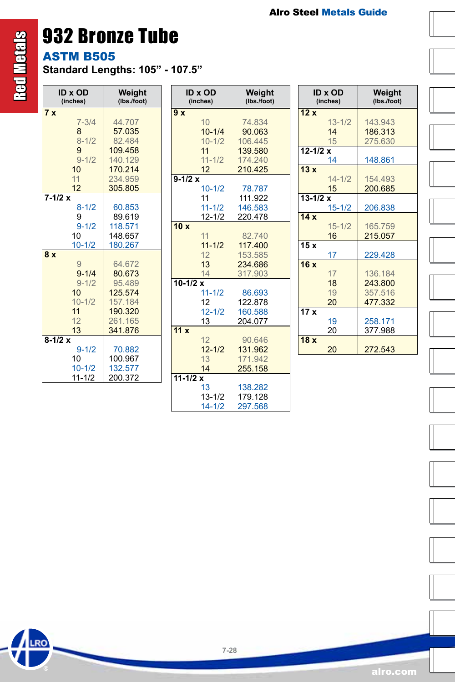### 932 Bronze Tube

ASTM B505

**Standard Lengths: 105" - 107.5"**

| <b>ID x OD</b><br>(inches) | Weight<br>(lbs./foot) | <b>ID x OD</b><br>(inches) | Weight<br>(Ibs./foot) | <b>ID x OD</b><br>(inches) | Weight<br>(Ibs./foot) |
|----------------------------|-----------------------|----------------------------|-----------------------|----------------------------|-----------------------|
| 7x                         |                       | 9x                         |                       | 12x                        |                       |
| $7 - 3/4$                  | 44.707                | 10                         | 74.834                | $13 - 1/2$                 | 143.943               |
| $\boldsymbol{8}$           | 57.035                | $10 - 1/4$                 | 90.063                | 14                         | 186.313               |
| $8 - 1/2$                  | 82.484                | $10 - 1/2$                 | 106.445               | 15                         | 275.630               |
| 9                          | 109.458               | 11                         | 139.580               | $12 - 1/2 x$               |                       |
| $9 - 1/2$                  | 140.129               | $11 - 1/2$                 | 174,240               | 14                         | 148.861               |
| 10                         | 170.214               | 12                         | 210.425               | 13x                        |                       |
| 11                         | 234.959               | $9 - 1/2 x$                |                       | $14 - 1/2$                 | 154.493               |
| 12                         | 305.805               | $10 - 1/2$                 | 78.787                | 15                         | 200.685               |
| $7 - 1/2 x$                |                       | 11                         | 111.922               | $13 - 1/2 x$               |                       |
| $8 - 1/2$                  | 60.853                | $11 - 1/2$                 | 146.583               | $15 - 1/2$                 | 206.838               |
| 9                          | 89.619                | $12 - 1/2$                 | 220.478               | 14x                        |                       |
| $9 - 1/2$                  | 118.571               | 10x                        |                       | $15 - 1/2$                 | 165.759               |
| 10                         | 148.657               | 11                         | 82.740                | 16                         | 215.057               |
| $10 - 1/2$                 | 180.267               | $11 - 1/2$                 | 117.400               | 15x                        |                       |
| 8x                         |                       | 12                         | 153.585               | 17                         | 229.428               |
| 9                          | 64.672                | 13                         | 234.686               | 16x                        |                       |
| $9 - 1/4$                  | 80.673                | 14                         | 317.903               | 17                         | 136.184               |
| $9 - 1/2$                  | 95.489                | $10 - 1/2 x$               |                       | 18                         | 243.800               |
| 10                         | 125.574               | $11 - 1/2$                 | 86.693                | 19                         | 357.516               |
| $10 - 1/2$                 | 157.184               | 12                         | 122.878               | 20                         | 477.332               |
| 11                         | 190.320               | $12 - 1/2$                 | 160.588               | 17x                        |                       |
| 12                         | 261.165               | 13                         | 204.077               | 19                         | 258.171               |
| 13                         | 341.876               | 11x                        |                       | 20                         | 377.988               |
| $8-1/2 x$                  |                       | 12                         | 90.646                | 18x                        |                       |
| $9 - 1/2$                  | 70.882                | $12 - 1/2$                 | 131.962               | 20                         | 272.543               |
| 10                         | 100.967               | 13                         | 171.942               |                            |                       |
| $10 - 1/2$                 | 132.577               | 14                         | 255.158               |                            |                       |
| $11 - 1/2$                 | 200.372               | $11 - 1/2x$                |                       |                            |                       |
|                            |                       | 13                         | 138.282               |                            |                       |
|                            |                       | $13 - 1/2$                 | 179.128               |                            |                       |
|                            |                       | $14 - 1/2$                 | 297.568               |                            |                       |

**Red Metals** Red Metals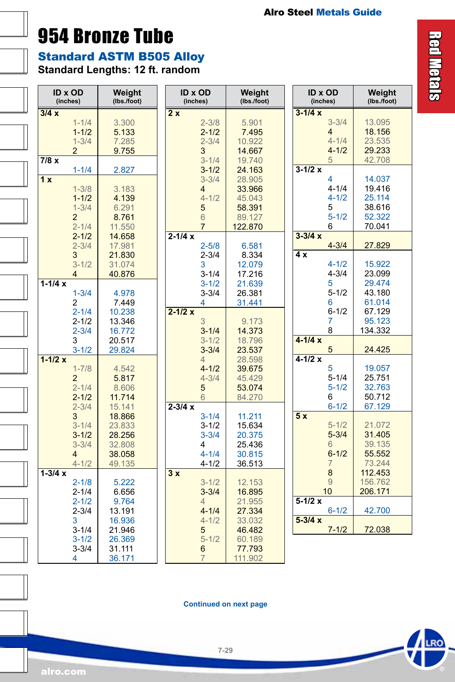### <span id="page-28-0"></span>954 Bronze Tube

Standard ASTM B505 Alloy

**Standard Lengths: 12 ft. random** 

| <b>ID x OD</b><br>(inches) | Weight<br>(lbs./foot) | <b>ID x OD</b><br>(inches) | Weight<br>(Ibs./foot) | <b>ID x OD</b><br>(inches) | Weight<br>(lbs./foot) |
|----------------------------|-----------------------|----------------------------|-----------------------|----------------------------|-----------------------|
| 3/4x                       |                       | 2x                         |                       | $3 - 1/4 x$                |                       |
| $1 - 1/4$                  | 3.300                 | $2 - 3/8$                  | 5.901                 | $3 - 3/4$                  | 13.095                |
| $1 - 1/2$                  | 5.133                 | $2 - 1/2$                  | 7.495                 | $\overline{4}$             | 18.156                |
| $1 - 3/4$                  | 7.285                 | $2 - 3/4$                  | 10.922                | $4 - 1/4$                  | 23.535                |
| $\overline{2}$             | 9.755                 | 3                          | 14.667                | $4 - 1/2$                  | 29.233                |
| $\overline{7/8x}$          |                       | $3 - 1/4$                  | 19.740                | 5                          | 42.708                |
| $1 - 1/4$                  | 2.827                 | $3 - 1/2$                  | 24.163                | $3-1/2x$                   |                       |
| 1x                         |                       | $3 - 3/4$                  | 28.905                | 4                          | 14.037                |
| $1 - 3/8$                  | 3.183                 | $\overline{4}$             | 33.966                | $4 - 1/4$                  | 19.416                |
| $1 - 1/2$                  | 4.139                 | $4 - 1/2$                  | 45.043                | $4 - 1/2$                  | 25.114                |
| $1 - 3/4$                  | 6.291                 | 5                          | 58.391                | 5                          | 38.616                |
| $\overline{2}$             | 8.761                 | 6                          | 89.127                | $5 - 1/2$                  | 52.322                |
| $2 - 1/4$                  | 11.550                | $\overline{7}$             | 122.870               | 6                          | 70.041                |
| $2 - 1/2$                  | 14.658                | $2 - 1/4x$                 |                       | $3 - 3/4x$                 |                       |
| $2 - 3/4$                  | 17.981                | $2 - 5/8$                  | 6.581                 | $4 - 3/4$                  | 27.829                |
| 3                          | 21.830                | $2 - 3/4$                  | 8.334                 | 4 x                        |                       |
| $3 - 1/2$                  | 31.074                | 3                          | 12.079                | $4 - 1/2$                  | 15.922                |
| $\overline{4}$             | 40.876                | $3 - 1/4$                  | 17.216                | $4 - 3/4$                  | 23.099                |
| $1 - 1/4x$                 |                       | $3 - 1/2$                  | 21.639                | 5                          | 29.474                |
| $1 - 3/4$                  | 4.978                 | $3 - 3/4$                  | 26.381                | $5 - 1/2$                  | 43.180                |
| 2                          | 7.449                 | 4                          | 31.441                | 6                          | 61.014                |
| $2 - 1/4$                  | 10.238                | $2 - 1/2x$                 |                       | $6 - 1/2$                  | 67.129                |
| $2 - 1/2$                  | 13.346                | 3                          | 9.173                 | 7                          | 95.123                |
| $2 - 3/4$                  | 16.772                | $3 - 1/4$                  | 14.373                | 8                          | 134.332               |
| 3                          | 20.517                | $3 - 1/2$                  | 18.796                | $4 - 1/4x$                 |                       |
| $3 - 1/2$                  | 29.824                | $3 - 3/4$                  | 23.537                | 5                          | 24.425                |
| $1 - 1/2x$                 |                       | $\overline{4}$             | 28.598                | $4 - 1/2x$                 |                       |
| $1 - 7/8$                  | 4.542                 | $4 - 1/2$                  | 39.675                | 5                          | 19.057                |
| $\overline{2}$             | 5.817                 | $4 - 3/4$                  | 45.429                | $5 - 1/4$                  | 25.751                |
| $2 - 1/4$                  | 8.606                 | 5                          | 53.074                | $5 - 1/2$                  | 32.763                |
| $2 - 1/2$                  | 11.714                | $6\phantom{1}$             | 84.270                | 6                          | 50.712                |
| $2 - 3/4$                  | 15.141                | $2 - 3/4x$                 |                       | $6 - 1/2$                  | 67.129                |
| 3                          | 18.866                | $3 - 1/4$                  | 11.211                | 5x                         |                       |
| $3 - 1/4$                  | 23.833                | $3 - 1/2$                  | 15.634                | $5 - 1/2$                  | 21.072                |
| $3 - 1/2$                  | 28.256                | $3 - 3/4$                  | 20.375                | $5 - 3/4$                  | 31.405                |
| $3 - 3/4$                  | 32.808                | 4                          | 25.436                | 6                          | 39.135                |
| $\overline{4}$             | 38.058                | $4 - 1/4$                  | 30.815                | $6 - 1/2$                  | 55.552                |
| $4 - 1/2$                  | 49.135                | $4 - 1/2$                  | 36.513                | $\overline{7}$             | 73.244                |
| $1 - 3/4x$                 |                       | 3x                         |                       | 8                          | 112.453               |
| $2 - 1/8$                  | 5.222                 | $3 - 1/2$                  | 12.153                | $\overline{9}$             | 156.762               |
| $2 - 1/4$                  | 6.656                 | $3 - 3/4$                  | 16.895                | 10                         | 206.171               |
| $2 - 1/2$                  | 9.764                 | $\overline{4}$             | 21.955                | $5-1/2x$                   |                       |
| $2 - 3/4$                  | 13.191                | $4 - 1/4$                  | 27.334                | $6 - 1/2$                  | 42.700                |
| 3                          | 16.936                | $4 - 1/2$                  | 33.032                | $5 - 3/4x$                 |                       |
| $3 - 1/4$                  | 21.946                | 5                          | 46.482                | $7 - 1/2$                  | 72.038                |
| $3 - 1/2$                  | 26.369                | $5 - 1/2$                  | 60.189                |                            |                       |
| $3 - 3/4$                  | 31.111<br>36.171      | 6<br>$\overline{7}$        | 77.793<br>111.902     |                            |                       |
| 4                          |                       |                            |                       |                            |                       |

**Continued on next page**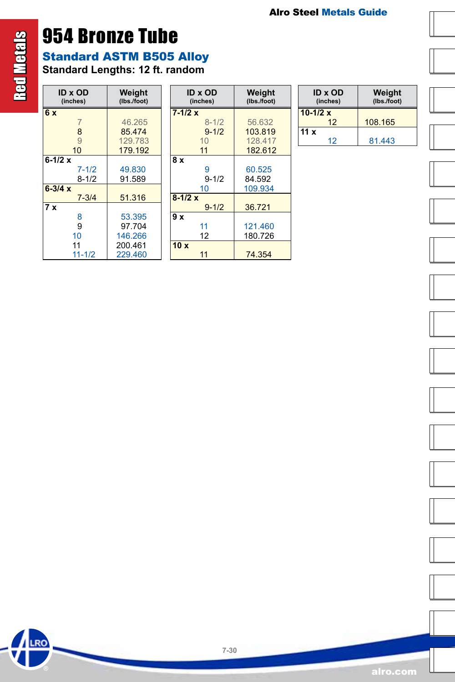# 954 Bronze Tube

Red Metals

**LRO** 

**Red Metals** 

Standard ASTM B505 Alloy

**Standard Lengths: 12 ft. random** 

| ID x OD<br>(inches) | Weight<br>(Ibs./foot) |
|---------------------|-----------------------|
| 6x                  |                       |
| $\overline{7}$      | 46.265                |
| 8                   | 85474                 |
| 9                   | 129 783               |
| 10                  | 179 192               |
| $6-1/2 x$           |                       |
| $7 - 1/2$           | 49.830                |
| $8 - 1/2$           | 91.589                |
| $6 - 3/4 x$         |                       |
| $7 - 3/4$           | 51.316                |
| 7x                  |                       |
| 8                   | 53.395                |
| 9                   | 97 704                |
| 10                  | 146 266               |
| 11                  | 200.461               |
| $11 - 1/2$          | 229.460               |

| ID x OD<br>(inches) | Weight<br>(Ibs./foot) |
|---------------------|-----------------------|
| $7 - 1/2x$          |                       |
| $8 - 1/2$           | 56.632                |
| $9 - 1/2$           | 103819                |
| 10                  | 128 417               |
| 11                  | 182.612               |
| 8 x                 |                       |
| 9                   | 60.525                |
| $9 - 1/2$           | 84.592                |
| 10                  | 109.934               |
| $8-1/2x$            |                       |
| $9 - 1/2$           | 36.721                |
| 9 x                 |                       |
| 11                  | 121.460               |
| 12                  | 180.726               |
| 10x                 |                       |
| 11                  | 74.354                |

| <b>ID x OD</b><br>(inches) | Weight<br>(Ibs./foot) |  |
|----------------------------|-----------------------|--|
| $10-1/2 x$                 |                       |  |
| $12 \,$                    | 108.165               |  |
| 11x                        |                       |  |
| 12                         | 81.443                |  |























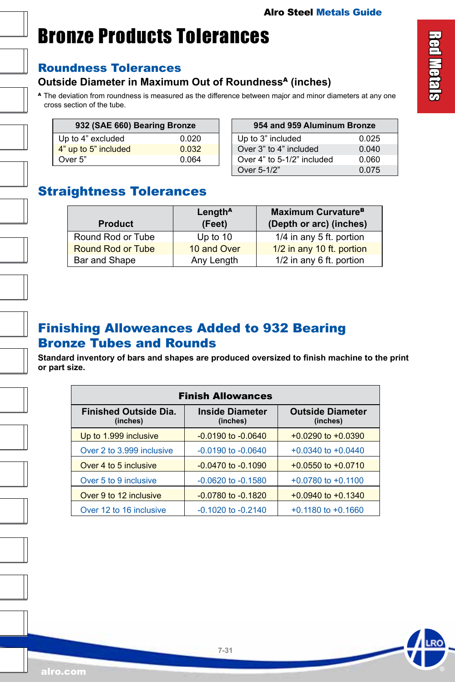# <span id="page-30-0"></span>Bronze Products Tolerances

#### Roundness Tolerances

#### **Outside Diameter in Maximum Out of Roundness<sup>A</sup> (inches)**

A The deviation from roundness is measured as the difference between major and minor diameters at any one cross section of the tube.

| 932 (SAE 660) Bearing Bronze |       |  |
|------------------------------|-------|--|
| Up to 4" excluded            | 0.020 |  |
| 4" up to 5" included         | 0.032 |  |
| Over 5"                      | 0.064 |  |

| 954 and 959 Aluminum Bronze |       |  |
|-----------------------------|-------|--|
| Up to 3" included           | 0.025 |  |
| Over 3" to 4" included      | 0.040 |  |
| Over 4" to 5-1/2" included  | 0.060 |  |
| Over 5-1/2"                 | 0.075 |  |

#### Straightness Tolerances

| <b>Product</b>           | Length <sup>A</sup><br>(Feet) | <b>Maximum Curvature<sup>B</sup></b><br>(Depth or arc) (inches) |
|--------------------------|-------------------------------|-----------------------------------------------------------------|
| Round Rod or Tube        | Up to $10$                    | 1/4 in any 5 ft. portion                                        |
| <b>Round Rod or Tube</b> | 10 and Over                   | 1/2 in any 10 ft. portion                                       |
| Bar and Shape            | Any Length                    | 1/2 in any 6 ft. portion                                        |

#### Finishing Alloweances Added to 932 Bearing Bronze Tubes and Rounds

**Standard inventory of bars and shapes are produced oversized to finish machine to the print or part size.**

| <b>Finish Allowances</b>                 |                                    |                                     |  |
|------------------------------------------|------------------------------------|-------------------------------------|--|
| <b>Finished Outside Dia.</b><br>(inches) | <b>Inside Diameter</b><br>(inches) | <b>Outside Diameter</b><br>(inches) |  |
| Up to 1.999 inclusive                    | $-0.0190$ to $-0.0640$             | $+0.0290$ to $+0.0390$              |  |
| Over 2 to 3.999 inclusive                | $-0.0190$ to $-0.0640$             | $+0.0340$ to $+0.0440$              |  |
| Over 4 to 5 inclusive                    | $-0.0470$ to $-0.1090$             | $+0.0550$ to $+0.0710$              |  |
| Over 5 to 9 inclusive                    | $-0.0620$ to $-0.1580$             | $+0.0780$ to $+0.1100$              |  |
| Over 9 to 12 inclusive                   | $-0.0780$ to $-0.1820$             | $+0.0940$ to $+0.1340$              |  |
| Over 12 to 16 inclusive                  | $-0.1020$ to $-0.2140$             | $+0.1180$ to $+0.1660$              |  |